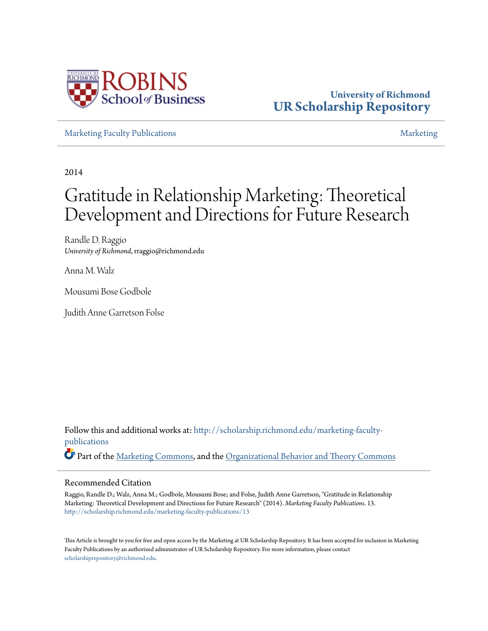

# **University of Richmond [UR Scholarship Repository](http://scholarship.richmond.edu?utm_source=scholarship.richmond.edu%2Fmarketing-faculty-publications%2F13&utm_medium=PDF&utm_campaign=PDFCoverPages)**

[Marketing Faculty Publications](http://scholarship.richmond.edu/marketing-faculty-publications?utm_source=scholarship.richmond.edu%2Fmarketing-faculty-publications%2F13&utm_medium=PDF&utm_campaign=PDFCoverPages) and the control of the control of the control of the control of the control of the control of the control of the control of the control of the control of the control of the control of the con

2014

# Gratitude in Relationship Marketing: Theoretical Development and Directions for Future Research

Randle D. Raggio *University of Richmond*, rraggio@richmond.edu

Anna M. Walz

Mousumi Bose Godbole

Judith Anne Garretson Folse

Follow this and additional works at: [http://scholarship.richmond.edu/marketing-faculty](http://scholarship.richmond.edu/marketing-faculty-publications?utm_source=scholarship.richmond.edu%2Fmarketing-faculty-publications%2F13&utm_medium=PDF&utm_campaign=PDFCoverPages)[publications](http://scholarship.richmond.edu/marketing-faculty-publications?utm_source=scholarship.richmond.edu%2Fmarketing-faculty-publications%2F13&utm_medium=PDF&utm_campaign=PDFCoverPages) Part of the [Marketing Commons,](http://network.bepress.com/hgg/discipline/638?utm_source=scholarship.richmond.edu%2Fmarketing-faculty-publications%2F13&utm_medium=PDF&utm_campaign=PDFCoverPages) and the [Organizational Behavior and Theory Commons](http://network.bepress.com/hgg/discipline/639?utm_source=scholarship.richmond.edu%2Fmarketing-faculty-publications%2F13&utm_medium=PDF&utm_campaign=PDFCoverPages)

#### Recommended Citation

Raggio, Randle D.; Walz, Anna M.; Godbole, Mousumi Bose; and Folse, Judith Anne Garretson, "Gratitude in Relationship Marketing: Theoretical Development and Directions for Future Research" (2014). *Marketing Faculty Publications*. 13. [http://scholarship.richmond.edu/marketing-faculty-publications/13](http://scholarship.richmond.edu/marketing-faculty-publications/13?utm_source=scholarship.richmond.edu%2Fmarketing-faculty-publications%2F13&utm_medium=PDF&utm_campaign=PDFCoverPages)

This Article is brought to you for free and open access by the Marketing at UR Scholarship Repository. It has been accepted for inclusion in Marketing Faculty Publications by an authorized administrator of UR Scholarship Repository. For more information, please contact [scholarshiprepository@richmond.edu.](mailto:scholarshiprepository@richmond.edu)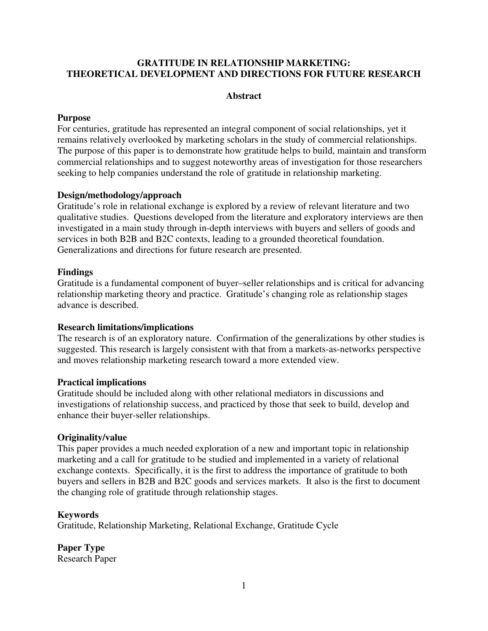# **GRATITUDE IN RELATIONSHIP MARKETING: THEORETICAL DEVELOPMENT AND DIRECTIONS FOR FUTURE RESEARCH**

## **Abstract**

#### **Purpose**

For centuries, gratitude has represented an integral component of social relationships, yet it remains relatively overlooked by marketing scholars in the study of commercial relationships. The purpose of this paper is to demonstrate how gratitude helps to build, maintain and transform commercial relationships and to suggest noteworthy areas of investigation for those researchers seeking to help companies understand the role of gratitude in relationship marketing.

#### **Design/methodology/approach**

Gratitude's role in relational exchange is explored by a review of relevant literature and two qualitative studies. Questions developed from the literature and exploratory interviews are then investigated in a main study through in-depth interviews with buyers and sellers of goods and services in both B2B and B2C contexts, leading to a grounded theoretical foundation. Generalizations and directions for future research are presented.

#### **Findings**

Gratitude is a fundamental component of buyer–seller relationships and is critical for advancing relationship marketing theory and practice.Gratitude's changing role as relationship stages advance is described.

#### **Research limitations/implications**

The research is of an exploratory nature. Confirmation of the generalizations by other studies is suggested. This research is largely consistent with that from a markets-as-networks perspective and moves relationship marketing research toward a more extended view.

#### **Practical implications**

Gratitude should be included along with other relational mediators in discussions and investigations of relationship success, and practiced by those that seek to build, develop and enhance their buyer-seller relationships.

## **Originality/value**

This paper provides a much needed exploration of a new and important topic in relationship marketing and a call for gratitude to be studied and implemented in a variety of relational exchange contexts. Specifically, it is the first to address the importance of gratitude to both buyers and sellers in B2B and B2C goods and services markets. It also is the first to document the changing role of gratitude through relationship stages.

#### **Keywords**

Gratitude, Relationship Marketing, Relational Exchange, Gratitude Cycle

**Paper Type** Research Paper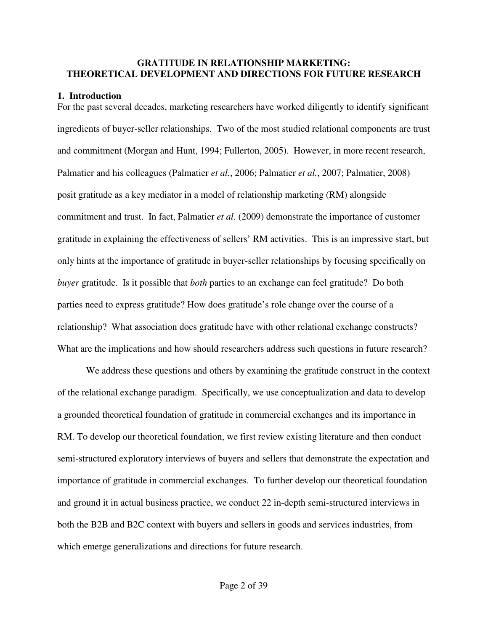#### **GRATITUDE IN RELATIONSHIP MARKETING: THEORETICAL DEVELOPMENT AND DIRECTIONS FOR FUTURE RESEARCH**

#### **1. Introduction**

For the past several decades, marketing researchers have worked diligently to identify significant ingredients of buyer-seller relationships. Two of the most studied relational components are trust and commitment (Morgan and Hunt, 1994; Fullerton, 2005). However, in more recent research, Palmatier and his colleagues (Palmatier *et al.*, 2006; Palmatier *et al.*, 2007; Palmatier, 2008) posit gratitude as a key mediator in a model of relationship marketing (RM) alongside commitment and trust. In fact, Palmatier *et al.* (2009) demonstrate the importance of customer gratitude in explaining the effectiveness of sellers' RM activities. This is an impressive start, but only hints at the importance of gratitude in buyer-seller relationships by focusing specifically on *buyer* gratitude. Is it possible that *both* parties to an exchange can feel gratitude? Do both parties need to express gratitude? How does gratitude's role change over the course of a relationship? What association does gratitude have with other relational exchange constructs? What are the implications and how should researchers address such questions in future research?

We address these questions and others by examining the gratitude construct in the context of the relational exchange paradigm. Specifically, we use conceptualization and data to develop a grounded theoretical foundation of gratitude in commercial exchanges and its importance in RM. To develop our theoretical foundation, we first review existing literature and then conduct semi-structured exploratory interviews of buyers and sellers that demonstrate the expectation and importance of gratitude in commercial exchanges. To further develop our theoretical foundation and ground it in actual business practice, we conduct 22 in-depth semi-structured interviews in both the B2B and B2C context with buyers and sellers in goods and services industries, from which emerge generalizations and directions for future research.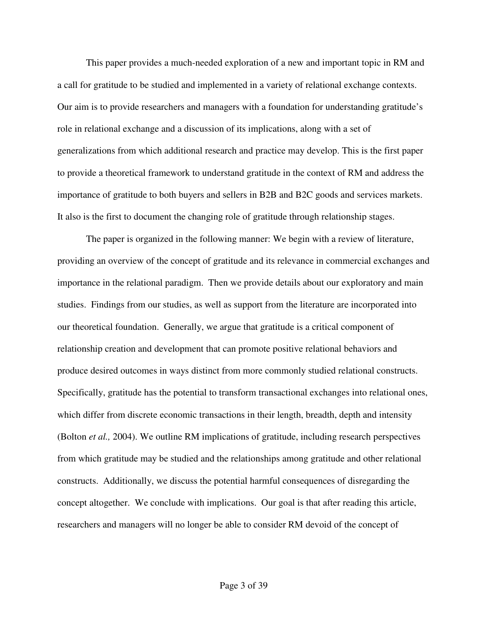This paper provides a much-needed exploration of a new and important topic in RM and a call for gratitude to be studied and implemented in a variety of relational exchange contexts. Our aim is to provide researchers and managers with a foundation for understanding gratitude's role in relational exchange and a discussion of its implications, along with a set of generalizations from which additional research and practice may develop. This is the first paper to provide a theoretical framework to understand gratitude in the context of RM and address the importance of gratitude to both buyers and sellers in B2B and B2C goods and services markets. It also is the first to document the changing role of gratitude through relationship stages.

The paper is organized in the following manner: We begin with a review of literature, providing an overview of the concept of gratitude and its relevance in commercial exchanges and importance in the relational paradigm. Then we provide details about our exploratory and main studies. Findings from our studies, as well as support from the literature are incorporated into our theoretical foundation. Generally, we argue that gratitude is a critical component of relationship creation and development that can promote positive relational behaviors and produce desired outcomes in ways distinct from more commonly studied relational constructs. Specifically, gratitude has the potential to transform transactional exchanges into relational ones, which differ from discrete economic transactions in their length, breadth, depth and intensity (Bolton *et al.,* 2004). We outline RM implications of gratitude, including research perspectives from which gratitude may be studied and the relationships among gratitude and other relational constructs. Additionally, we discuss the potential harmful consequences of disregarding the concept altogether. We conclude with implications. Our goal is that after reading this article, researchers and managers will no longer be able to consider RM devoid of the concept of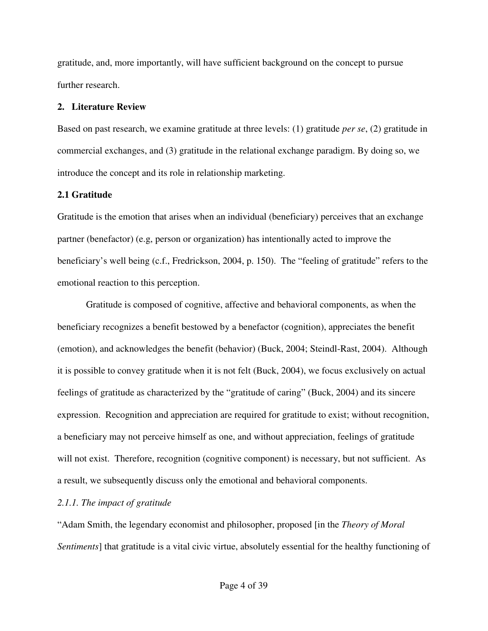gratitude, and, more importantly, will have sufficient background on the concept to pursue further research.

# **2. Literature Review**

Based on past research, we examine gratitude at three levels: (1) gratitude *per se*, (2) gratitude in commercial exchanges, and (3) gratitude in the relational exchange paradigm. By doing so, we introduce the concept and its role in relationship marketing.

# **2.1 Gratitude**

Gratitude is the emotion that arises when an individual (beneficiary) perceives that an exchange partner (benefactor) (e.g, person or organization) has intentionally acted to improve the beneficiary's well being (c.f., Fredrickson, 2004, p. 150). The "feeling of gratitude" refers to the emotional reaction to this perception.

Gratitude is composed of cognitive, affective and behavioral components, as when the beneficiary recognizes a benefit bestowed by a benefactor (cognition), appreciates the benefit (emotion), and acknowledges the benefit (behavior) (Buck, 2004; Steindl-Rast, 2004). Although it is possible to convey gratitude when it is not felt (Buck, 2004), we focus exclusively on actual feelings of gratitude as characterized by the "gratitude of caring" (Buck, 2004) and its sincere expression. Recognition and appreciation are required for gratitude to exist; without recognition, a beneficiary may not perceive himself as one, and without appreciation, feelings of gratitude will not exist. Therefore, recognition (cognitive component) is necessary, but not sufficient. As a result, we subsequently discuss only the emotional and behavioral components.

# *2.1.1. The impact of gratitude*

"Adam Smith, the legendary economist and philosopher, proposed [in the *Theory of Moral Sentiments*] that gratitude is a vital civic virtue, absolutely essential for the healthy functioning of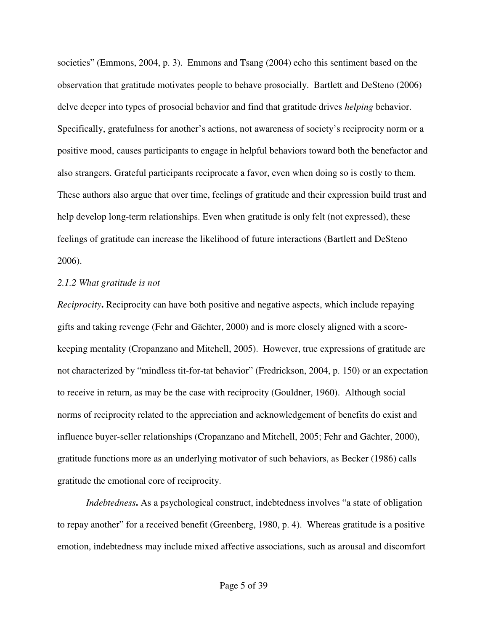societies" (Emmons, 2004, p. 3). Emmons and Tsang (2004) echo this sentiment based on the observation that gratitude motivates people to behave prosocially. Bartlett and DeSteno (2006) delve deeper into types of prosocial behavior and find that gratitude drives *helping* behavior. Specifically, gratefulness for another's actions, not awareness of society's reciprocity norm or a positive mood, causes participants to engage in helpful behaviors toward both the benefactor and also strangers. Grateful participants reciprocate a favor, even when doing so is costly to them. These authors also argue that over time, feelings of gratitude and their expression build trust and help develop long-term relationships. Even when gratitude is only felt (not expressed), these feelings of gratitude can increase the likelihood of future interactions (Bartlett and DeSteno 2006).

#### *2.1.2 What gratitude is not*

*Reciprocity***.** Reciprocity can have both positive and negative aspects, which include repaying gifts and taking revenge (Fehr and Gächter, 2000) and is more closely aligned with a scorekeeping mentality (Cropanzano and Mitchell, 2005). However, true expressions of gratitude are not characterized by "mindless tit-for-tat behavior" (Fredrickson, 2004, p. 150) or an expectation to receive in return, as may be the case with reciprocity (Gouldner, 1960). Although social norms of reciprocity related to the appreciation and acknowledgement of benefits do exist and influence buyer-seller relationships (Cropanzano and Mitchell, 2005; Fehr and Gächter, 2000), gratitude functions more as an underlying motivator of such behaviors, as Becker (1986) calls gratitude the emotional core of reciprocity.

*Indebtedness***.** As a psychological construct, indebtedness involves "a state of obligation to repay another" for a received benefit (Greenberg, 1980, p. 4). Whereas gratitude is a positive emotion, indebtedness may include mixed affective associations, such as arousal and discomfort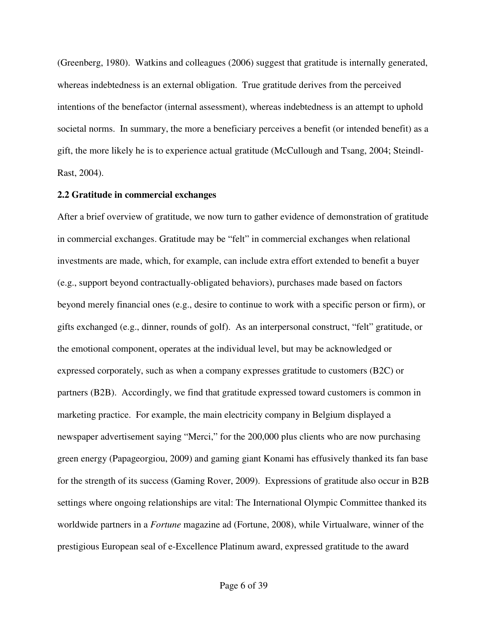(Greenberg, 1980). Watkins and colleagues (2006) suggest that gratitude is internally generated, whereas indebtedness is an external obligation. True gratitude derives from the perceived intentions of the benefactor (internal assessment), whereas indebtedness is an attempt to uphold societal norms. In summary, the more a beneficiary perceives a benefit (or intended benefit) as a gift, the more likely he is to experience actual gratitude (McCullough and Tsang, 2004; Steindl-Rast, 2004).

#### **2.2 Gratitude in commercial exchanges**

After a brief overview of gratitude, we now turn to gather evidence of demonstration of gratitude in commercial exchanges. Gratitude may be "felt" in commercial exchanges when relational investments are made, which, for example, can include extra effort extended to benefit a buyer (e.g., support beyond contractually-obligated behaviors), purchases made based on factors beyond merely financial ones (e.g., desire to continue to work with a specific person or firm), or gifts exchanged (e.g., dinner, rounds of golf). As an interpersonal construct, "felt" gratitude, or the emotional component, operates at the individual level, but may be acknowledged or expressed corporately, such as when a company expresses gratitude to customers (B2C) or partners (B2B). Accordingly, we find that gratitude expressed toward customers is common in marketing practice. For example, the main electricity company in Belgium displayed a newspaper advertisement saying "Merci," for the 200,000 plus clients who are now purchasing green energy (Papageorgiou, 2009) and gaming giant Konami has effusively thanked its fan base for the strength of its success (Gaming Rover, 2009). Expressions of gratitude also occur in B2B settings where ongoing relationships are vital: The International Olympic Committee thanked its worldwide partners in a *Fortune* magazine ad (Fortune, 2008), while Virtualware, winner of the prestigious European seal of e-Excellence Platinum award, expressed gratitude to the award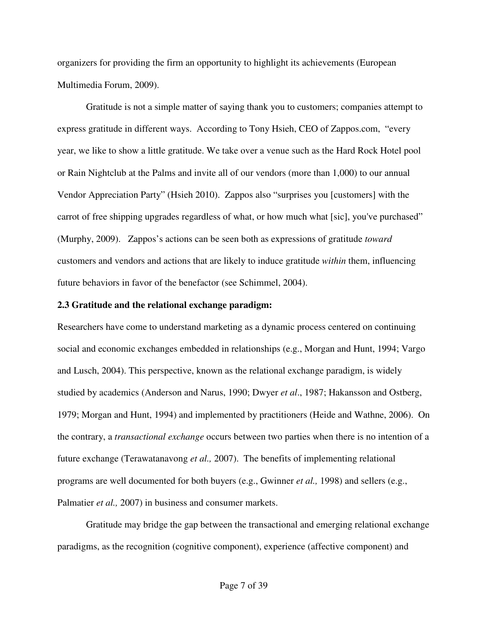organizers for providing the firm an opportunity to highlight its achievements (European Multimedia Forum, 2009).

Gratitude is not a simple matter of saying thank you to customers; companies attempt to express gratitude in different ways. According to Tony Hsieh, CEO of Zappos.com, "every year, we like to show a little gratitude. We take over a venue such as the Hard Rock Hotel pool or Rain Nightclub at the Palms and invite all of our vendors (more than 1,000) to our annual Vendor Appreciation Party" (Hsieh 2010). Zappos also "surprises you [customers] with the carrot of free shipping upgrades regardless of what, or how much what [sic], you've purchased" (Murphy, 2009). Zappos's actions can be seen both as expressions of gratitude *toward*  customers and vendors and actions that are likely to induce gratitude *within* them, influencing future behaviors in favor of the benefactor (see Schimmel, 2004).

#### **2.3 Gratitude and the relational exchange paradigm:**

Researchers have come to understand marketing as a dynamic process centered on continuing social and economic exchanges embedded in relationships (e.g., Morgan and Hunt, 1994; Vargo and Lusch, 2004). This perspective, known as the relational exchange paradigm, is widely studied by academics (Anderson and Narus, 1990; Dwyer *et al*., 1987; Hakansson and Ostberg, 1979; Morgan and Hunt, 1994) and implemented by practitioners (Heide and Wathne, 2006). On the contrary, a *transactional exchange* occurs between two parties when there is no intention of a future exchange (Terawatanavong *et al.,* 2007). The benefits of implementing relational programs are well documented for both buyers (e.g., Gwinner *et al.,* 1998) and sellers (e.g., Palmatier *et al.,* 2007) in business and consumer markets.

Gratitude may bridge the gap between the transactional and emerging relational exchange paradigms, as the recognition (cognitive component), experience (affective component) and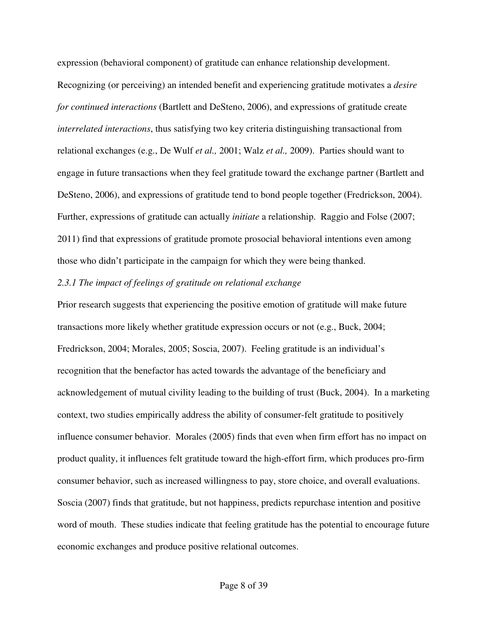expression (behavioral component) of gratitude can enhance relationship development. Recognizing (or perceiving) an intended benefit and experiencing gratitude motivates a *desire for continued interactions* (Bartlett and DeSteno, 2006), and expressions of gratitude create *interrelated interactions*, thus satisfying two key criteria distinguishing transactional from relational exchanges (e.g., De Wulf *et al.,* 2001; Walz *et al.,* 2009). Parties should want to engage in future transactions when they feel gratitude toward the exchange partner (Bartlett and DeSteno, 2006), and expressions of gratitude tend to bond people together (Fredrickson, 2004). Further, expressions of gratitude can actually *initiate* a relationship. Raggio and Folse (2007; 2011) find that expressions of gratitude promote prosocial behavioral intentions even among those who didn't participate in the campaign for which they were being thanked.

#### *2.3.1 The impact of feelings of gratitude on relational exchange*

Prior research suggests that experiencing the positive emotion of gratitude will make future transactions more likely whether gratitude expression occurs or not (e.g., Buck, 2004; Fredrickson, 2004; Morales, 2005; Soscia, 2007). Feeling gratitude is an individual's recognition that the benefactor has acted towards the advantage of the beneficiary and acknowledgement of mutual civility leading to the building of trust (Buck, 2004). In a marketing context, two studies empirically address the ability of consumer-felt gratitude to positively influence consumer behavior. Morales (2005) finds that even when firm effort has no impact on product quality, it influences felt gratitude toward the high-effort firm, which produces pro-firm consumer behavior, such as increased willingness to pay, store choice, and overall evaluations. Soscia (2007) finds that gratitude, but not happiness, predicts repurchase intention and positive word of mouth. These studies indicate that feeling gratitude has the potential to encourage future economic exchanges and produce positive relational outcomes.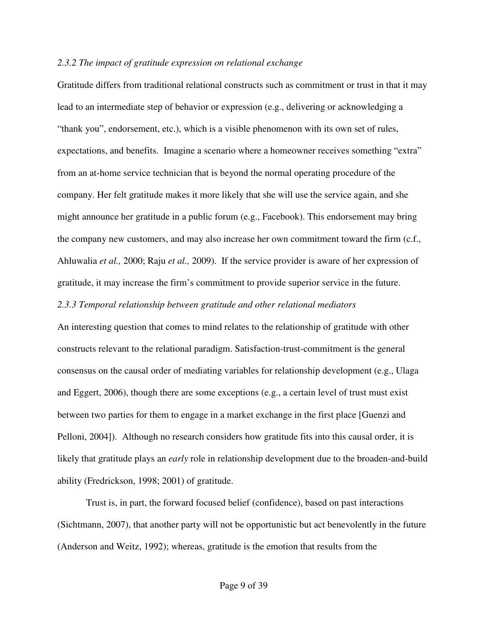#### *2.3.2 The impact of gratitude expression on relational exchange*

Gratitude differs from traditional relational constructs such as commitment or trust in that it may lead to an intermediate step of behavior or expression (e.g., delivering or acknowledging a "thank you", endorsement, etc.), which is a visible phenomenon with its own set of rules, expectations, and benefits. Imagine a scenario where a homeowner receives something "extra" from an at-home service technician that is beyond the normal operating procedure of the company. Her felt gratitude makes it more likely that she will use the service again, and she might announce her gratitude in a public forum (e.g., Facebook). This endorsement may bring the company new customers, and may also increase her own commitment toward the firm (c.f., Ahluwalia *et al.,* 2000; Raju *et al.,* 2009). If the service provider is aware of her expression of gratitude, it may increase the firm's commitment to provide superior service in the future.

#### *2.3.3 Temporal relationship between gratitude and other relational mediators*

An interesting question that comes to mind relates to the relationship of gratitude with other constructs relevant to the relational paradigm. Satisfaction-trust-commitment is the general consensus on the causal order of mediating variables for relationship development (e.g., Ulaga and Eggert, 2006), though there are some exceptions (e.g., a certain level of trust must exist between two parties for them to engage in a market exchange in the first place [Guenzi and Pelloni, 2004]). Although no research considers how gratitude fits into this causal order, it is likely that gratitude plays an *early* role in relationship development due to the broaden-and-build ability (Fredrickson, 1998; 2001) of gratitude.

Trust is, in part, the forward focused belief (confidence), based on past interactions (Sichtmann, 2007), that another party will not be opportunistic but act benevolently in the future (Anderson and Weitz, 1992); whereas, gratitude is the emotion that results from the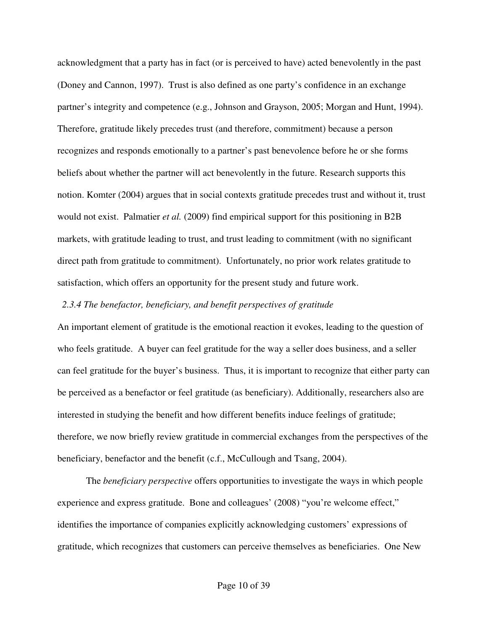acknowledgment that a party has in fact (or is perceived to have) acted benevolently in the past (Doney and Cannon, 1997). Trust is also defined as one party's confidence in an exchange partner's integrity and competence (e.g., Johnson and Grayson, 2005; Morgan and Hunt, 1994). Therefore, gratitude likely precedes trust (and therefore, commitment) because a person recognizes and responds emotionally to a partner's past benevolence before he or she forms beliefs about whether the partner will act benevolently in the future. Research supports this notion. Komter (2004) argues that in social contexts gratitude precedes trust and without it, trust would not exist. Palmatier *et al.* (2009) find empirical support for this positioning in B2B markets, with gratitude leading to trust, and trust leading to commitment (with no significant direct path from gratitude to commitment). Unfortunately, no prior work relates gratitude to satisfaction, which offers an opportunity for the present study and future work.

#### *2.3.4 The benefactor, beneficiary, and benefit perspectives of gratitude*

An important element of gratitude is the emotional reaction it evokes, leading to the question of who feels gratitude. A buyer can feel gratitude for the way a seller does business, and a seller can feel gratitude for the buyer's business. Thus, it is important to recognize that either party can be perceived as a benefactor or feel gratitude (as beneficiary). Additionally, researchers also are interested in studying the benefit and how different benefits induce feelings of gratitude; therefore, we now briefly review gratitude in commercial exchanges from the perspectives of the beneficiary, benefactor and the benefit (c.f., McCullough and Tsang, 2004).

The *beneficiary perspective* offers opportunities to investigate the ways in which people experience and express gratitude. Bone and colleagues' (2008) "you're welcome effect," identifies the importance of companies explicitly acknowledging customers' expressions of gratitude, which recognizes that customers can perceive themselves as beneficiaries. One New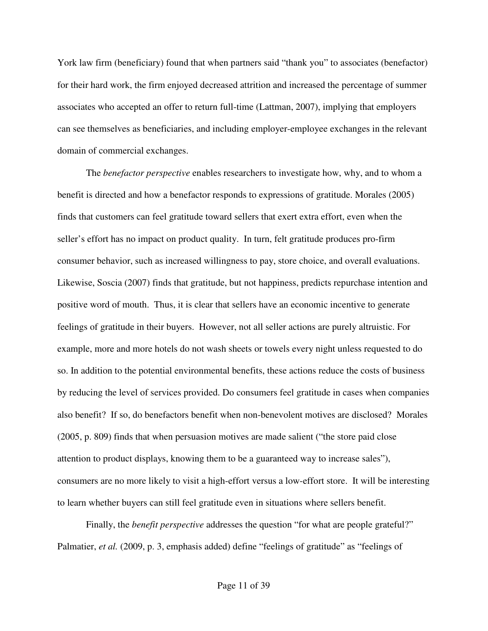York law firm (beneficiary) found that when partners said "thank you" to associates (benefactor) for their hard work, the firm enjoyed decreased attrition and increased the percentage of summer associates who accepted an offer to return full-time (Lattman, 2007), implying that employers can see themselves as beneficiaries, and including employer-employee exchanges in the relevant domain of commercial exchanges.

The *benefactor perspective* enables researchers to investigate how, why, and to whom a benefit is directed and how a benefactor responds to expressions of gratitude. Morales (2005) finds that customers can feel gratitude toward sellers that exert extra effort, even when the seller's effort has no impact on product quality. In turn, felt gratitude produces pro-firm consumer behavior, such as increased willingness to pay, store choice, and overall evaluations. Likewise, Soscia (2007) finds that gratitude, but not happiness, predicts repurchase intention and positive word of mouth. Thus, it is clear that sellers have an economic incentive to generate feelings of gratitude in their buyers. However, not all seller actions are purely altruistic. For example, more and more hotels do not wash sheets or towels every night unless requested to do so. In addition to the potential environmental benefits, these actions reduce the costs of business by reducing the level of services provided. Do consumers feel gratitude in cases when companies also benefit? If so, do benefactors benefit when non-benevolent motives are disclosed? Morales (2005, p. 809) finds that when persuasion motives are made salient ("the store paid close attention to product displays, knowing them to be a guaranteed way to increase sales"), consumers are no more likely to visit a high-effort versus a low-effort store. It will be interesting to learn whether buyers can still feel gratitude even in situations where sellers benefit.

Finally, the *benefit perspective* addresses the question "for what are people grateful?" Palmatier, *et al.* (2009, p. 3, emphasis added) define "feelings of gratitude" as "feelings of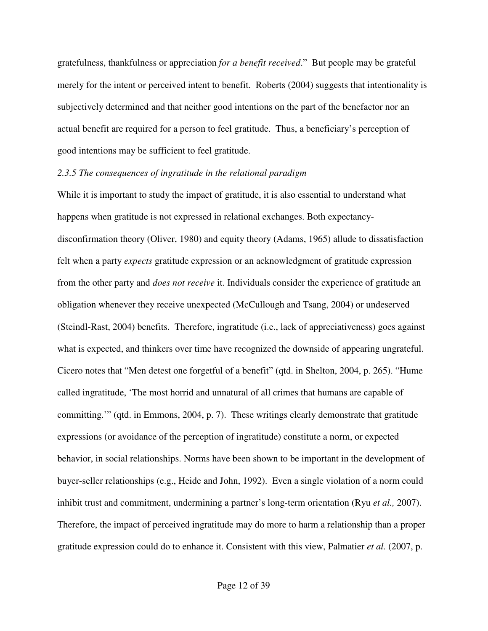gratefulness, thankfulness or appreciation *for a benefit received*." But people may be grateful merely for the intent or perceived intent to benefit. Roberts (2004) suggests that intentionality is subjectively determined and that neither good intentions on the part of the benefactor nor an actual benefit are required for a person to feel gratitude. Thus, a beneficiary's perception of good intentions may be sufficient to feel gratitude.

#### *2.3.5 The consequences of ingratitude in the relational paradigm*

While it is important to study the impact of gratitude, it is also essential to understand what happens when gratitude is not expressed in relational exchanges. Both expectancydisconfirmation theory (Oliver, 1980) and equity theory (Adams, 1965) allude to dissatisfaction felt when a party *expects* gratitude expression or an acknowledgment of gratitude expression from the other party and *does not receive* it. Individuals consider the experience of gratitude an obligation whenever they receive unexpected (McCullough and Tsang, 2004) or undeserved (Steindl-Rast, 2004) benefits. Therefore, ingratitude (i.e., lack of appreciativeness) goes against what is expected, and thinkers over time have recognized the downside of appearing ungrateful. Cicero notes that "Men detest one forgetful of a benefit" (qtd. in Shelton, 2004, p. 265). "Hume called ingratitude, 'The most horrid and unnatural of all crimes that humans are capable of committing.'" (qtd. in Emmons, 2004, p. 7).These writings clearly demonstrate that gratitude expressions (or avoidance of the perception of ingratitude) constitute a norm, or expected behavior, in social relationships. Norms have been shown to be important in the development of buyer-seller relationships (e.g., Heide and John, 1992). Even a single violation of a norm could inhibit trust and commitment, undermining a partner's long-term orientation (Ryu *et al.,* 2007). Therefore, the impact of perceived ingratitude may do more to harm a relationship than a proper gratitude expression could do to enhance it. Consistent with this view, Palmatier *et al.* (2007, p.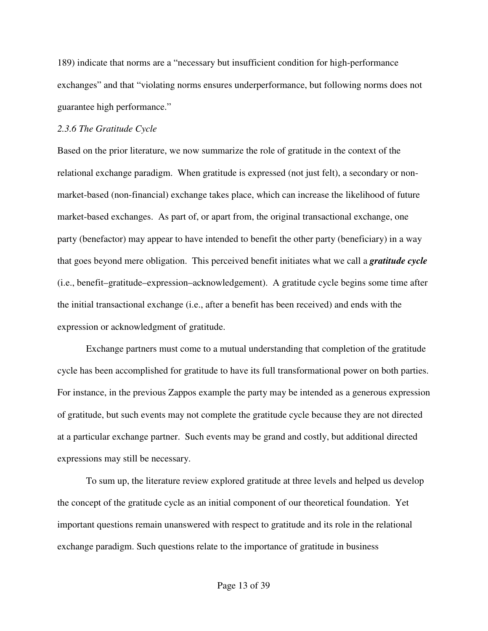189) indicate that norms are a "necessary but insufficient condition for high-performance exchanges" and that "violating norms ensures underperformance, but following norms does not guarantee high performance."

#### *2.3.6 The Gratitude Cycle*

Based on the prior literature, we now summarize the role of gratitude in the context of the relational exchange paradigm. When gratitude is expressed (not just felt), a secondary or nonmarket-based (non-financial) exchange takes place, which can increase the likelihood of future market-based exchanges. As part of, or apart from, the original transactional exchange, one party (benefactor) may appear to have intended to benefit the other party (beneficiary) in a way that goes beyond mere obligation. This perceived benefit initiates what we call a *gratitude cycle* (i.e., benefit–gratitude–expression–acknowledgement). A gratitude cycle begins some time after the initial transactional exchange (i.e., after a benefit has been received) and ends with the expression or acknowledgment of gratitude.

Exchange partners must come to a mutual understanding that completion of the gratitude cycle has been accomplished for gratitude to have its full transformational power on both parties. For instance, in the previous Zappos example the party may be intended as a generous expression of gratitude, but such events may not complete the gratitude cycle because they are not directed at a particular exchange partner. Such events may be grand and costly, but additional directed expressions may still be necessary.

To sum up, the literature review explored gratitude at three levels and helped us develop the concept of the gratitude cycle as an initial component of our theoretical foundation. Yet important questions remain unanswered with respect to gratitude and its role in the relational exchange paradigm. Such questions relate to the importance of gratitude in business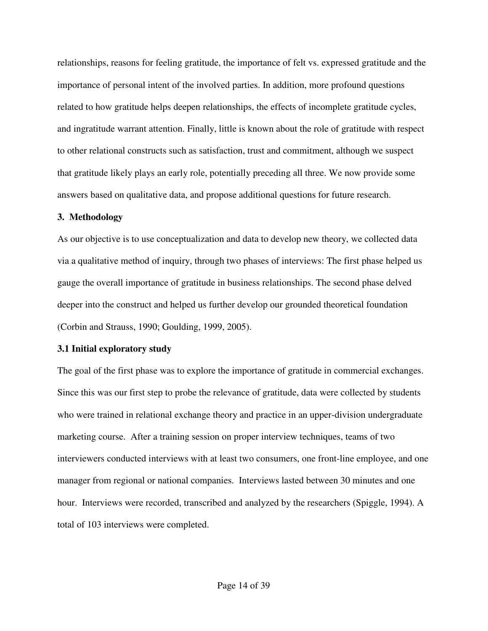relationships, reasons for feeling gratitude, the importance of felt vs. expressed gratitude and the importance of personal intent of the involved parties. In addition, more profound questions related to how gratitude helps deepen relationships, the effects of incomplete gratitude cycles, and ingratitude warrant attention. Finally, little is known about the role of gratitude with respect to other relational constructs such as satisfaction, trust and commitment, although we suspect that gratitude likely plays an early role, potentially preceding all three. We now provide some answers based on qualitative data, and propose additional questions for future research.

#### **3. Methodology**

As our objective is to use conceptualization and data to develop new theory, we collected data via a qualitative method of inquiry, through two phases of interviews: The first phase helped us gauge the overall importance of gratitude in business relationships. The second phase delved deeper into the construct and helped us further develop our grounded theoretical foundation (Corbin and Strauss, 1990; Goulding, 1999, 2005).

#### **3.1 Initial exploratory study**

The goal of the first phase was to explore the importance of gratitude in commercial exchanges. Since this was our first step to probe the relevance of gratitude, data were collected by students who were trained in relational exchange theory and practice in an upper-division undergraduate marketing course. After a training session on proper interview techniques, teams of two interviewers conducted interviews with at least two consumers, one front-line employee, and one manager from regional or national companies. Interviews lasted between 30 minutes and one hour. Interviews were recorded, transcribed and analyzed by the researchers (Spiggle, 1994). A total of 103 interviews were completed.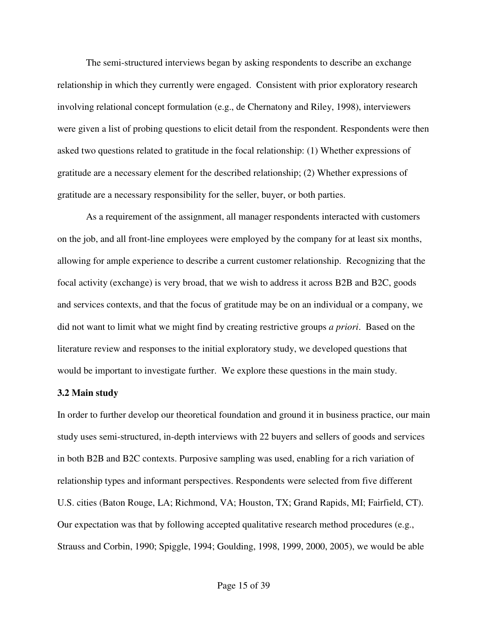The semi-structured interviews began by asking respondents to describe an exchange relationship in which they currently were engaged. Consistent with prior exploratory research involving relational concept formulation (e.g., de Chernatony and Riley, 1998), interviewers were given a list of probing questions to elicit detail from the respondent. Respondents were then asked two questions related to gratitude in the focal relationship: (1) Whether expressions of gratitude are a necessary element for the described relationship; (2) Whether expressions of gratitude are a necessary responsibility for the seller, buyer, or both parties.

 As a requirement of the assignment, all manager respondents interacted with customers on the job, and all front-line employees were employed by the company for at least six months, allowing for ample experience to describe a current customer relationship. Recognizing that the focal activity (exchange) is very broad, that we wish to address it across B2B and B2C, goods and services contexts, and that the focus of gratitude may be on an individual or a company, we did not want to limit what we might find by creating restrictive groups *a priori*. Based on the literature review and responses to the initial exploratory study, we developed questions that would be important to investigate further. We explore these questions in the main study.

#### **3.2 Main study**

In order to further develop our theoretical foundation and ground it in business practice, our main study uses semi-structured, in-depth interviews with 22 buyers and sellers of goods and services in both B2B and B2C contexts. Purposive sampling was used, enabling for a rich variation of relationship types and informant perspectives. Respondents were selected from five different U.S. cities (Baton Rouge, LA; Richmond, VA; Houston, TX; Grand Rapids, MI; Fairfield, CT). Our expectation was that by following accepted qualitative research method procedures (e.g., Strauss and Corbin, 1990; Spiggle, 1994; Goulding, 1998, 1999, 2000, 2005), we would be able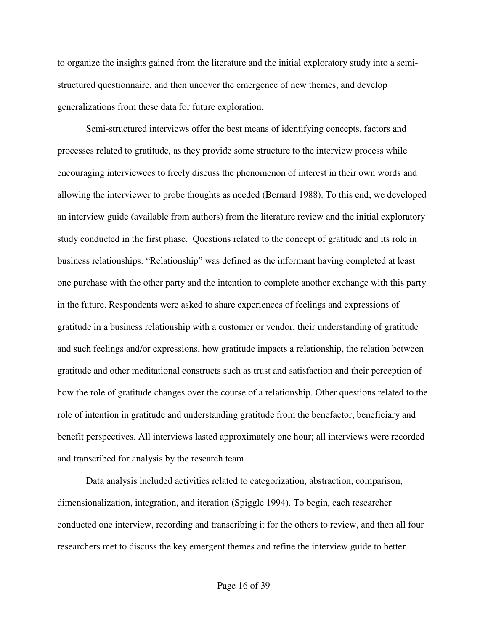to organize the insights gained from the literature and the initial exploratory study into a semistructured questionnaire, and then uncover the emergence of new themes, and develop generalizations from these data for future exploration.

Semi-structured interviews offer the best means of identifying concepts, factors and processes related to gratitude, as they provide some structure to the interview process while encouraging interviewees to freely discuss the phenomenon of interest in their own words and allowing the interviewer to probe thoughts as needed (Bernard 1988). To this end, we developed an interview guide (available from authors) from the literature review and the initial exploratory study conducted in the first phase. Questions related to the concept of gratitude and its role in business relationships. "Relationship" was defined as the informant having completed at least one purchase with the other party and the intention to complete another exchange with this party in the future. Respondents were asked to share experiences of feelings and expressions of gratitude in a business relationship with a customer or vendor, their understanding of gratitude and such feelings and/or expressions, how gratitude impacts a relationship, the relation between gratitude and other meditational constructs such as trust and satisfaction and their perception of how the role of gratitude changes over the course of a relationship. Other questions related to the role of intention in gratitude and understanding gratitude from the benefactor, beneficiary and benefit perspectives. All interviews lasted approximately one hour; all interviews were recorded and transcribed for analysis by the research team.

Data analysis included activities related to categorization, abstraction, comparison, dimensionalization, integration, and iteration (Spiggle 1994). To begin, each researcher conducted one interview, recording and transcribing it for the others to review, and then all four researchers met to discuss the key emergent themes and refine the interview guide to better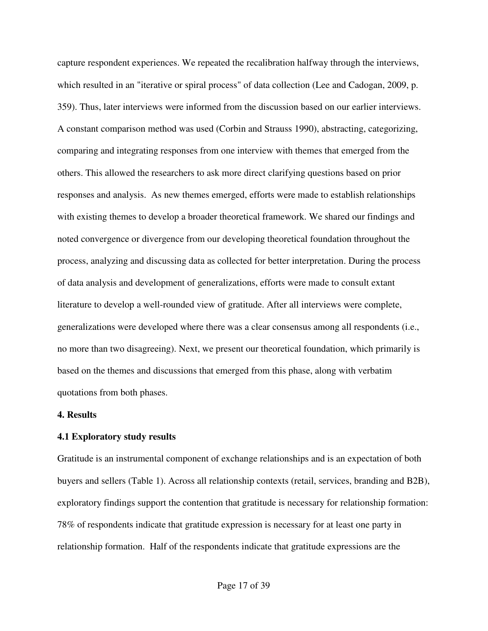capture respondent experiences. We repeated the recalibration halfway through the interviews, which resulted in an "iterative or spiral process" of data collection (Lee and Cadogan, 2009, p. 359). Thus, later interviews were informed from the discussion based on our earlier interviews. A constant comparison method was used (Corbin and Strauss 1990), abstracting, categorizing, comparing and integrating responses from one interview with themes that emerged from the others. This allowed the researchers to ask more direct clarifying questions based on prior responses and analysis. As new themes emerged, efforts were made to establish relationships with existing themes to develop a broader theoretical framework. We shared our findings and noted convergence or divergence from our developing theoretical foundation throughout the process, analyzing and discussing data as collected for better interpretation. During the process of data analysis and development of generalizations, efforts were made to consult extant literature to develop a well-rounded view of gratitude. After all interviews were complete, generalizations were developed where there was a clear consensus among all respondents (i.e., no more than two disagreeing). Next, we present our theoretical foundation, which primarily is based on the themes and discussions that emerged from this phase, along with verbatim quotations from both phases.

#### **4. Results**

#### **4.1 Exploratory study results**

Gratitude is an instrumental component of exchange relationships and is an expectation of both buyers and sellers (Table 1). Across all relationship contexts (retail, services, branding and B2B), exploratory findings support the contention that gratitude is necessary for relationship formation: 78% of respondents indicate that gratitude expression is necessary for at least one party in relationship formation. Half of the respondents indicate that gratitude expressions are the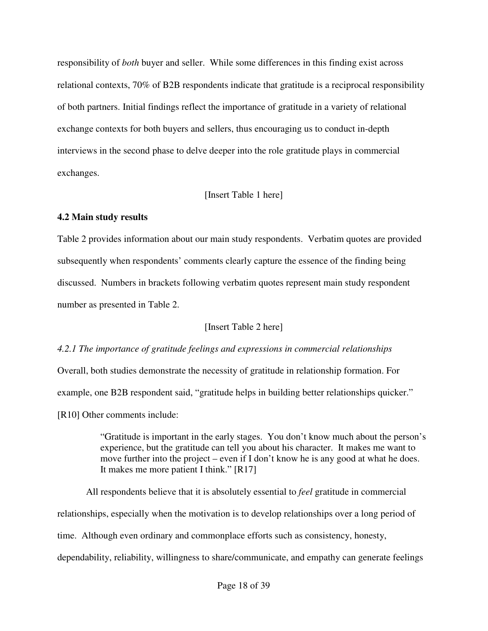responsibility of *both* buyer and seller. While some differences in this finding exist across relational contexts, 70% of B2B respondents indicate that gratitude is a reciprocal responsibility of both partners. Initial findings reflect the importance of gratitude in a variety of relational exchange contexts for both buyers and sellers, thus encouraging us to conduct in-depth interviews in the second phase to delve deeper into the role gratitude plays in commercial exchanges.

## [Insert Table 1 here]

# **4.2 Main study results**

Table 2 provides information about our main study respondents. Verbatim quotes are provided subsequently when respondents' comments clearly capture the essence of the finding being discussed. Numbers in brackets following verbatim quotes represent main study respondent number as presented in Table 2.

[Insert Table 2 here]

# *4.2.1 The importance of gratitude feelings and expressions in commercial relationships*

Overall, both studies demonstrate the necessity of gratitude in relationship formation. For example, one B2B respondent said, "gratitude helps in building better relationships quicker." [R10] Other comments include:

> "Gratitude is important in the early stages. You don't know much about the person's experience, but the gratitude can tell you about his character. It makes me want to move further into the project – even if I don't know he is any good at what he does. It makes me more patient I think." [R17]

All respondents believe that it is absolutely essential to *feel* gratitude in commercial relationships, especially when the motivation is to develop relationships over a long period of time. Although even ordinary and commonplace efforts such as consistency, honesty, dependability, reliability, willingness to share/communicate, and empathy can generate feelings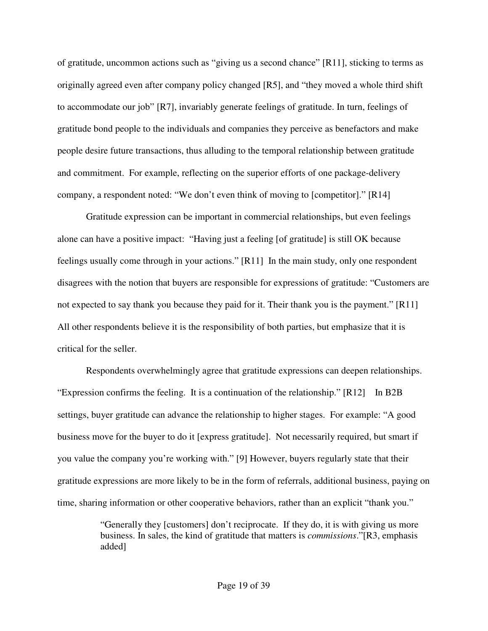of gratitude, uncommon actions such as "giving us a second chance" [R11], sticking to terms as originally agreed even after company policy changed [R5], and "they moved a whole third shift to accommodate our job" [R7], invariably generate feelings of gratitude. In turn, feelings of gratitude bond people to the individuals and companies they perceive as benefactors and make people desire future transactions, thus alluding to the temporal relationship between gratitude and commitment. For example, reflecting on the superior efforts of one package-delivery company, a respondent noted: "We don't even think of moving to [competitor]." [R14]

 Gratitude expression can be important in commercial relationships, but even feelings alone can have a positive impact: "Having just a feeling [of gratitude] is still OK because feelings usually come through in your actions." [R11] In the main study, only one respondent disagrees with the notion that buyers are responsible for expressions of gratitude: "Customers are not expected to say thank you because they paid for it. Their thank you is the payment." [R11] All other respondents believe it is the responsibility of both parties, but emphasize that it is critical for the seller.

Respondents overwhelmingly agree that gratitude expressions can deepen relationships. "Expression confirms the feeling. It is a continuation of the relationship." [R12] In B2B settings, buyer gratitude can advance the relationship to higher stages. For example: "A good business move for the buyer to do it [express gratitude]. Not necessarily required, but smart if you value the company you're working with." [9] However, buyers regularly state that their gratitude expressions are more likely to be in the form of referrals, additional business, paying on time, sharing information or other cooperative behaviors, rather than an explicit "thank you."

> "Generally they [customers] don't reciprocate. If they do, it is with giving us more business. In sales, the kind of gratitude that matters is *commissions*."[R3, emphasis added]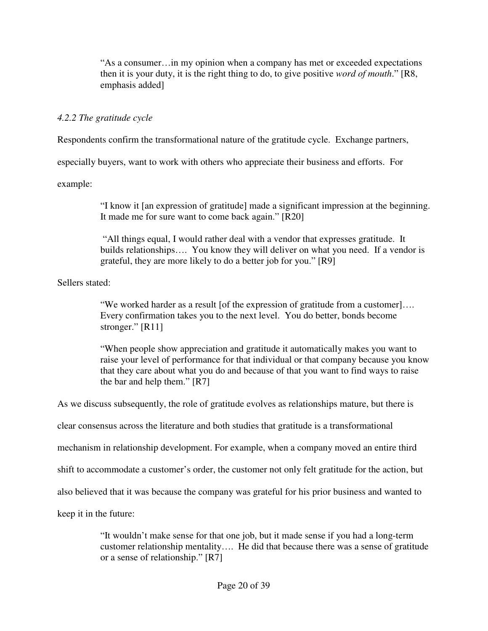"As a consumer…in my opinion when a company has met or exceeded expectations then it is your duty, it is the right thing to do, to give positive *word of mouth*." [R8, emphasis added]

# *4.2.2 The gratitude cycle*

Respondents confirm the transformational nature of the gratitude cycle. Exchange partners,

especially buyers, want to work with others who appreciate their business and efforts. For

example:

"I know it [an expression of gratitude] made a significant impression at the beginning. It made me for sure want to come back again." [R20]

 "All things equal, I would rather deal with a vendor that expresses gratitude. It builds relationships…. You know they will deliver on what you need. If a vendor is grateful, they are more likely to do a better job for you." [R9]

Sellers stated:

"We worked harder as a result [of the expression of gratitude from a customer]…. Every confirmation takes you to the next level. You do better, bonds become stronger." [R11]

"When people show appreciation and gratitude it automatically makes you want to raise your level of performance for that individual or that company because you know that they care about what you do and because of that you want to find ways to raise the bar and help them." [R7]

As we discuss subsequently, the role of gratitude evolves as relationships mature, but there is

clear consensus across the literature and both studies that gratitude is a transformational

mechanism in relationship development. For example, when a company moved an entire third

shift to accommodate a customer's order, the customer not only felt gratitude for the action, but

also believed that it was because the company was grateful for his prior business and wanted to

keep it in the future:

"It wouldn't make sense for that one job, but it made sense if you had a long-term customer relationship mentality…. He did that because there was a sense of gratitude or a sense of relationship." [R7]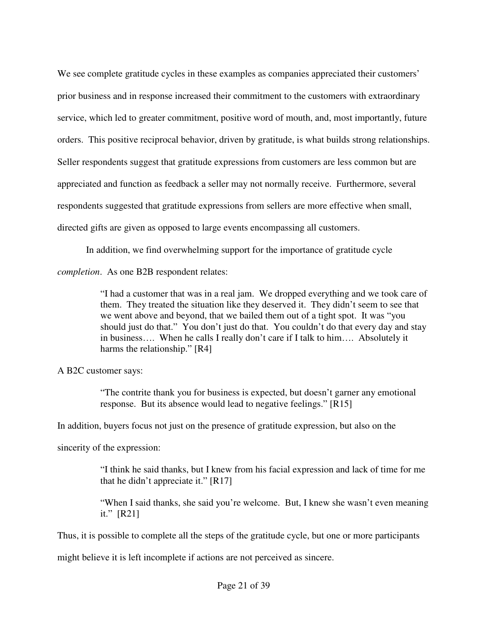We see complete gratitude cycles in these examples as companies appreciated their customers' prior business and in response increased their commitment to the customers with extraordinary service, which led to greater commitment, positive word of mouth, and, most importantly, future orders. This positive reciprocal behavior, driven by gratitude, is what builds strong relationships. Seller respondents suggest that gratitude expressions from customers are less common but are appreciated and function as feedback a seller may not normally receive. Furthermore, several respondents suggested that gratitude expressions from sellers are more effective when small, directed gifts are given as opposed to large events encompassing all customers.

In addition, we find overwhelming support for the importance of gratitude cycle

*completion*. As one B2B respondent relates:

"I had a customer that was in a real jam. We dropped everything and we took care of them. They treated the situation like they deserved it. They didn't seem to see that we went above and beyond, that we bailed them out of a tight spot. It was "you should just do that." You don't just do that. You couldn't do that every day and stay in business…. When he calls I really don't care if I talk to him…. Absolutely it harms the relationship." [R4]

A B2C customer says:

"The contrite thank you for business is expected, but doesn't garner any emotional response. But its absence would lead to negative feelings." [R15]

In addition, buyers focus not just on the presence of gratitude expression, but also on the

sincerity of the expression:

"I think he said thanks, but I knew from his facial expression and lack of time for me that he didn't appreciate it." [R17]

"When I said thanks, she said you're welcome. But, I knew she wasn't even meaning it." [R21]

Thus, it is possible to complete all the steps of the gratitude cycle, but one or more participants

might believe it is left incomplete if actions are not perceived as sincere.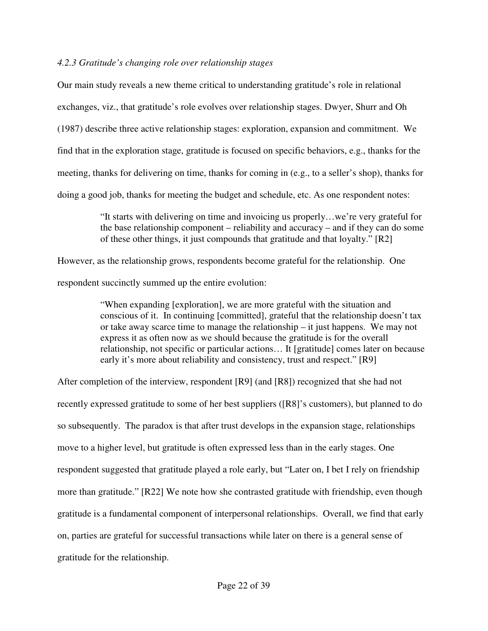#### *4.2.3 Gratitude's changing role over relationship stages*

Our main study reveals a new theme critical to understanding gratitude's role in relational exchanges, viz., that gratitude's role evolves over relationship stages. Dwyer, Shurr and Oh (1987) describe three active relationship stages: exploration, expansion and commitment. We find that in the exploration stage, gratitude is focused on specific behaviors, e.g., thanks for the meeting, thanks for delivering on time, thanks for coming in (e.g., to a seller's shop), thanks for doing a good job, thanks for meeting the budget and schedule, etc. As one respondent notes:

> "It starts with delivering on time and invoicing us properly…we're very grateful for the base relationship component – reliability and accuracy – and if they can do some of these other things, it just compounds that gratitude and that loyalty." [R2]

However, as the relationship grows, respondents become grateful for the relationship. One respondent succinctly summed up the entire evolution:

> "When expanding [exploration], we are more grateful with the situation and conscious of it. In continuing [committed], grateful that the relationship doesn't tax or take away scarce time to manage the relationship – it just happens. We may not express it as often now as we should because the gratitude is for the overall relationship, not specific or particular actions… It [gratitude] comes later on because early it's more about reliability and consistency, trust and respect." [R9]

After completion of the interview, respondent [R9] (and [R8]) recognized that she had not recently expressed gratitude to some of her best suppliers ([R8]'s customers), but planned to do so subsequently. The paradox is that after trust develops in the expansion stage, relationships move to a higher level, but gratitude is often expressed less than in the early stages. One respondent suggested that gratitude played a role early, but "Later on, I bet I rely on friendship more than gratitude." [R22] We note how she contrasted gratitude with friendship, even though gratitude is a fundamental component of interpersonal relationships. Overall, we find that early on, parties are grateful for successful transactions while later on there is a general sense of gratitude for the relationship.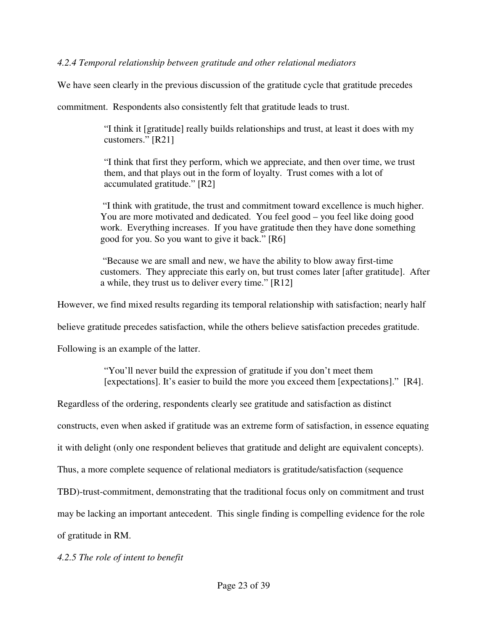# *4.2.4 Temporal relationship between gratitude and other relational mediators*

We have seen clearly in the previous discussion of the gratitude cycle that gratitude precedes

commitment. Respondents also consistently felt that gratitude leads to trust.

"I think it [gratitude] really builds relationships and trust, at least it does with my customers." [R21]

"I think that first they perform, which we appreciate, and then over time, we trust them, and that plays out in the form of loyalty. Trust comes with a lot of accumulated gratitude." [R2]

 "I think with gratitude, the trust and commitment toward excellence is much higher. You are more motivated and dedicated. You feel good – you feel like doing good work. Everything increases. If you have gratitude then they have done something good for you. So you want to give it back." [R6]

 "Because we are small and new, we have the ability to blow away first-time customers. They appreciate this early on, but trust comes later [after gratitude]. After a while, they trust us to deliver every time." [R12]

However, we find mixed results regarding its temporal relationship with satisfaction; nearly half

believe gratitude precedes satisfaction, while the others believe satisfaction precedes gratitude.

Following is an example of the latter.

"You'll never build the expression of gratitude if you don't meet them [expectations]. It's easier to build the more you exceed them [expectations]." [R4].

Regardless of the ordering, respondents clearly see gratitude and satisfaction as distinct

constructs, even when asked if gratitude was an extreme form of satisfaction, in essence equating

it with delight (only one respondent believes that gratitude and delight are equivalent concepts).

Thus, a more complete sequence of relational mediators is gratitude/satisfaction (sequence

TBD)-trust-commitment, demonstrating that the traditional focus only on commitment and trust

may be lacking an important antecedent. This single finding is compelling evidence for the role

of gratitude in RM.

*4.2.5 The role of intent to benefit*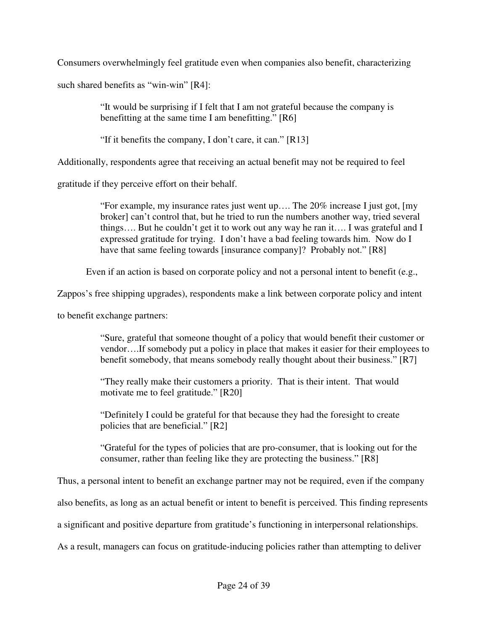Consumers overwhelmingly feel gratitude even when companies also benefit, characterizing

such shared benefits as "win-win" [R4]:

"It would be surprising if I felt that I am not grateful because the company is benefitting at the same time I am benefitting." [R6]

"If it benefits the company, I don't care, it can." [R13]

Additionally, respondents agree that receiving an actual benefit may not be required to feel

gratitude if they perceive effort on their behalf.

"For example, my insurance rates just went up…. The 20% increase I just got, [my broker] can't control that, but he tried to run the numbers another way, tried several things…. But he couldn't get it to work out any way he ran it…. I was grateful and I expressed gratitude for trying. I don't have a bad feeling towards him. Now do I have that same feeling towards [insurance company]? Probably not." [R8]

Even if an action is based on corporate policy and not a personal intent to benefit (e.g.,

Zappos's free shipping upgrades), respondents make a link between corporate policy and intent

to benefit exchange partners:

"Sure, grateful that someone thought of a policy that would benefit their customer or vendor….If somebody put a policy in place that makes it easier for their employees to benefit somebody, that means somebody really thought about their business." [R7]

"They really make their customers a priority. That is their intent. That would motivate me to feel gratitude." [R20]

"Definitely I could be grateful for that because they had the foresight to create policies that are beneficial." [R2]

"Grateful for the types of policies that are pro-consumer, that is looking out for the consumer, rather than feeling like they are protecting the business." [R8]

Thus, a personal intent to benefit an exchange partner may not be required, even if the company

also benefits, as long as an actual benefit or intent to benefit is perceived. This finding represents

a significant and positive departure from gratitude's functioning in interpersonal relationships.

As a result, managers can focus on gratitude-inducing policies rather than attempting to deliver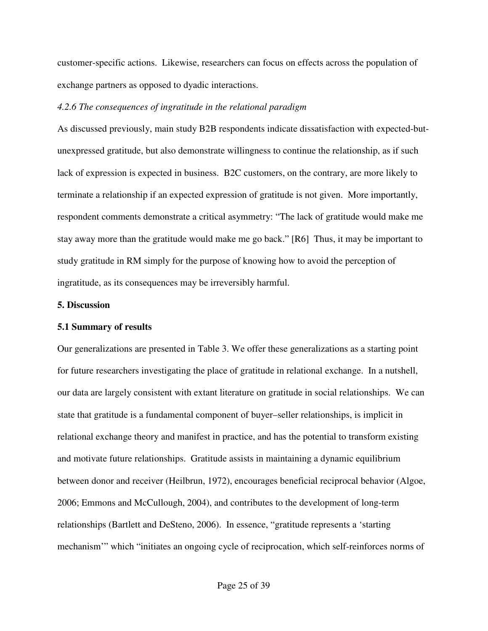customer-specific actions. Likewise, researchers can focus on effects across the population of exchange partners as opposed to dyadic interactions.

#### *4.2.6 The consequences of ingratitude in the relational paradigm*

As discussed previously, main study B2B respondents indicate dissatisfaction with expected-butunexpressed gratitude, but also demonstrate willingness to continue the relationship, as if such lack of expression is expected in business. B2C customers, on the contrary, are more likely to terminate a relationship if an expected expression of gratitude is not given. More importantly, respondent comments demonstrate a critical asymmetry: "The lack of gratitude would make me stay away more than the gratitude would make me go back." [R6] Thus, it may be important to study gratitude in RM simply for the purpose of knowing how to avoid the perception of ingratitude, as its consequences may be irreversibly harmful.

#### **5. Discussion**

#### **5.1 Summary of results**

Our generalizations are presented in Table 3. We offer these generalizations as a starting point for future researchers investigating the place of gratitude in relational exchange. In a nutshell, our data are largely consistent with extant literature on gratitude in social relationships. We can state that gratitude is a fundamental component of buyer–seller relationships, is implicit in relational exchange theory and manifest in practice, and has the potential to transform existing and motivate future relationships. Gratitude assists in maintaining a dynamic equilibrium between donor and receiver (Heilbrun, 1972), encourages beneficial reciprocal behavior (Algoe, 2006; Emmons and McCullough, 2004), and contributes to the development of long-term relationships (Bartlett and DeSteno, 2006). In essence, "gratitude represents a 'starting mechanism'" which "initiates an ongoing cycle of reciprocation, which self-reinforces norms of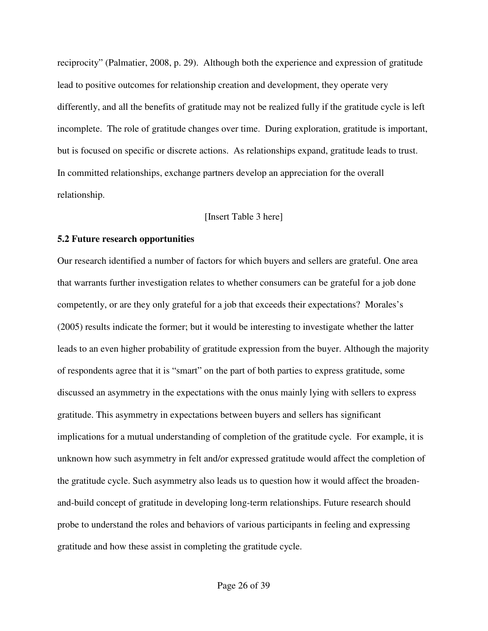reciprocity" (Palmatier, 2008, p. 29). Although both the experience and expression of gratitude lead to positive outcomes for relationship creation and development, they operate very differently, and all the benefits of gratitude may not be realized fully if the gratitude cycle is left incomplete. The role of gratitude changes over time. During exploration, gratitude is important, but is focused on specific or discrete actions. As relationships expand, gratitude leads to trust. In committed relationships, exchange partners develop an appreciation for the overall relationship.

#### [Insert Table 3 here]

#### **5.2 Future research opportunities**

Our research identified a number of factors for which buyers and sellers are grateful. One area that warrants further investigation relates to whether consumers can be grateful for a job done competently, or are they only grateful for a job that exceeds their expectations? Morales's (2005) results indicate the former; but it would be interesting to investigate whether the latter leads to an even higher probability of gratitude expression from the buyer. Although the majority of respondents agree that it is "smart" on the part of both parties to express gratitude, some discussed an asymmetry in the expectations with the onus mainly lying with sellers to express gratitude. This asymmetry in expectations between buyers and sellers has significant implications for a mutual understanding of completion of the gratitude cycle. For example, it is unknown how such asymmetry in felt and/or expressed gratitude would affect the completion of the gratitude cycle. Such asymmetry also leads us to question how it would affect the broadenand-build concept of gratitude in developing long-term relationships. Future research should probe to understand the roles and behaviors of various participants in feeling and expressing gratitude and how these assist in completing the gratitude cycle.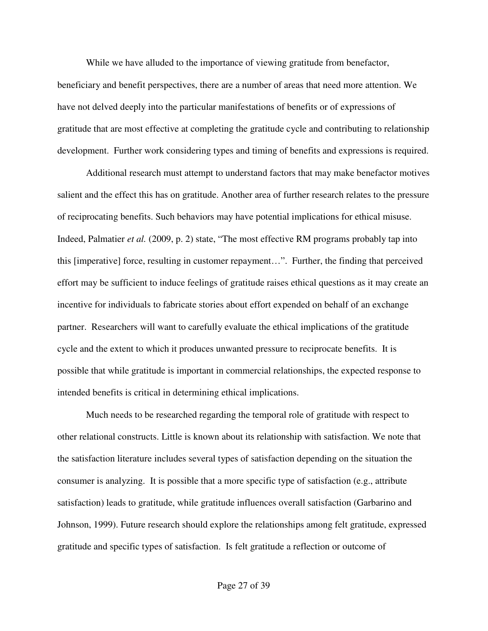While we have alluded to the importance of viewing gratitude from benefactor, beneficiary and benefit perspectives, there are a number of areas that need more attention. We have not delved deeply into the particular manifestations of benefits or of expressions of gratitude that are most effective at completing the gratitude cycle and contributing to relationship development. Further work considering types and timing of benefits and expressions is required.

Additional research must attempt to understand factors that may make benefactor motives salient and the effect this has on gratitude. Another area of further research relates to the pressure of reciprocating benefits. Such behaviors may have potential implications for ethical misuse. Indeed, Palmatier *et al.* (2009, p. 2) state, "The most effective RM programs probably tap into this [imperative] force, resulting in customer repayment…". Further, the finding that perceived effort may be sufficient to induce feelings of gratitude raises ethical questions as it may create an incentive for individuals to fabricate stories about effort expended on behalf of an exchange partner. Researchers will want to carefully evaluate the ethical implications of the gratitude cycle and the extent to which it produces unwanted pressure to reciprocate benefits. It is possible that while gratitude is important in commercial relationships, the expected response to intended benefits is critical in determining ethical implications.

 Much needs to be researched regarding the temporal role of gratitude with respect to other relational constructs. Little is known about its relationship with satisfaction. We note that the satisfaction literature includes several types of satisfaction depending on the situation the consumer is analyzing. It is possible that a more specific type of satisfaction (e.g., attribute satisfaction) leads to gratitude, while gratitude influences overall satisfaction (Garbarino and Johnson, 1999). Future research should explore the relationships among felt gratitude, expressed gratitude and specific types of satisfaction. Is felt gratitude a reflection or outcome of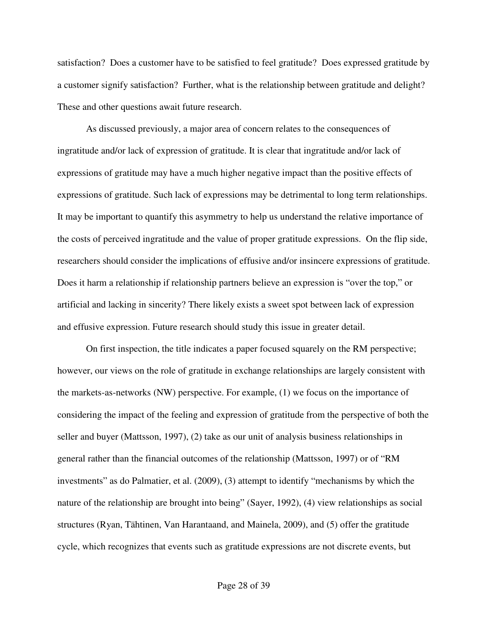satisfaction? Does a customer have to be satisfied to feel gratitude? Does expressed gratitude by a customer signify satisfaction? Further, what is the relationship between gratitude and delight? These and other questions await future research.

As discussed previously, a major area of concern relates to the consequences of ingratitude and/or lack of expression of gratitude. It is clear that ingratitude and/or lack of expressions of gratitude may have a much higher negative impact than the positive effects of expressions of gratitude. Such lack of expressions may be detrimental to long term relationships. It may be important to quantify this asymmetry to help us understand the relative importance of the costs of perceived ingratitude and the value of proper gratitude expressions. On the flip side, researchers should consider the implications of effusive and/or insincere expressions of gratitude. Does it harm a relationship if relationship partners believe an expression is "over the top," or artificial and lacking in sincerity? There likely exists a sweet spot between lack of expression and effusive expression. Future research should study this issue in greater detail.

 On first inspection, the title indicates a paper focused squarely on the RM perspective; however, our views on the role of gratitude in exchange relationships are largely consistent with the markets-as-networks (NW) perspective. For example, (1) we focus on the importance of considering the impact of the feeling and expression of gratitude from the perspective of both the seller and buyer (Mattsson, 1997), (2) take as our unit of analysis business relationships in general rather than the financial outcomes of the relationship (Mattsson, 1997) or of "RM investments" as do Palmatier, et al. (2009), (3) attempt to identify "mechanisms by which the nature of the relationship are brought into being" (Sayer, 1992), (4) view relationships as social structures (Ryan, Tähtinen, Van Harantaand, and Mainela, 2009), and (5) offer the gratitude cycle, which recognizes that events such as gratitude expressions are not discrete events, but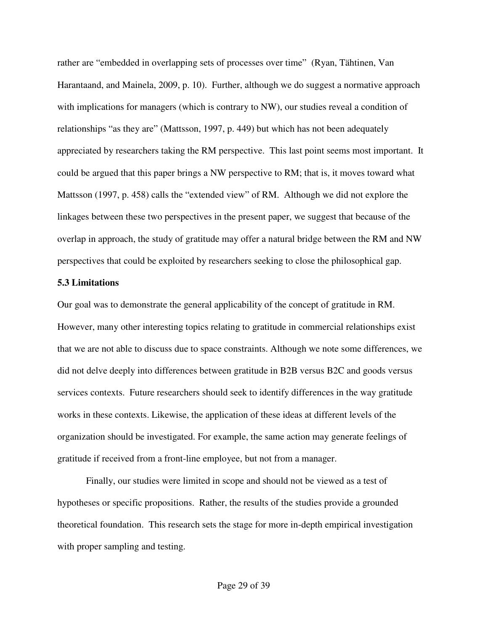rather are "embedded in overlapping sets of processes over time" (Ryan, Tähtinen, Van Harantaand, and Mainela, 2009, p. 10). Further, although we do suggest a normative approach with implications for managers (which is contrary to NW), our studies reveal a condition of relationships "as they are" (Mattsson, 1997, p. 449) but which has not been adequately appreciated by researchers taking the RM perspective. This last point seems most important. It could be argued that this paper brings a NW perspective to RM; that is, it moves toward what Mattsson (1997, p. 458) calls the "extended view" of RM. Although we did not explore the linkages between these two perspectives in the present paper, we suggest that because of the overlap in approach, the study of gratitude may offer a natural bridge between the RM and NW perspectives that could be exploited by researchers seeking to close the philosophical gap.

#### **5.3 Limitations**

Our goal was to demonstrate the general applicability of the concept of gratitude in RM. However, many other interesting topics relating to gratitude in commercial relationships exist that we are not able to discuss due to space constraints. Although we note some differences, we did not delve deeply into differences between gratitude in B2B versus B2C and goods versus services contexts. Future researchers should seek to identify differences in the way gratitude works in these contexts. Likewise, the application of these ideas at different levels of the organization should be investigated. For example, the same action may generate feelings of gratitude if received from a front-line employee, but not from a manager.

Finally, our studies were limited in scope and should not be viewed as a test of hypotheses or specific propositions. Rather, the results of the studies provide a grounded theoretical foundation. This research sets the stage for more in-depth empirical investigation with proper sampling and testing.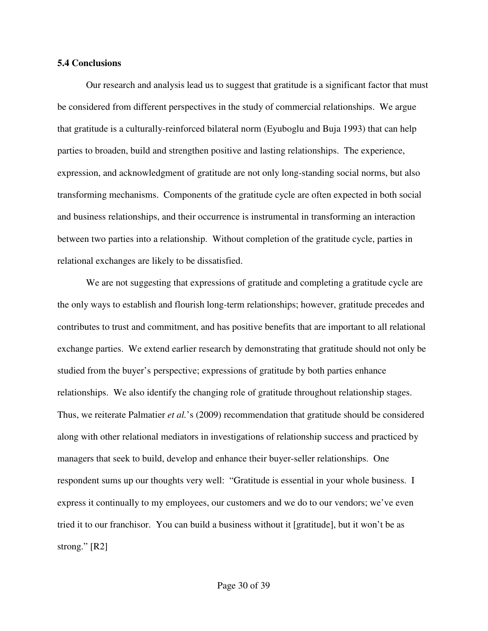#### **5.4 Conclusions**

Our research and analysis lead us to suggest that gratitude is a significant factor that must be considered from different perspectives in the study of commercial relationships. We argue that gratitude is a culturally-reinforced bilateral norm (Eyuboglu and Buja 1993) that can help parties to broaden, build and strengthen positive and lasting relationships. The experience, expression, and acknowledgment of gratitude are not only long-standing social norms, but also transforming mechanisms. Components of the gratitude cycle are often expected in both social and business relationships, and their occurrence is instrumental in transforming an interaction between two parties into a relationship. Without completion of the gratitude cycle, parties in relational exchanges are likely to be dissatisfied.

We are not suggesting that expressions of gratitude and completing a gratitude cycle are the only ways to establish and flourish long-term relationships; however, gratitude precedes and contributes to trust and commitment, and has positive benefits that are important to all relational exchange parties. We extend earlier research by demonstrating that gratitude should not only be studied from the buyer's perspective; expressions of gratitude by both parties enhance relationships. We also identify the changing role of gratitude throughout relationship stages. Thus, we reiterate Palmatier *et al.*'s (2009) recommendation that gratitude should be considered along with other relational mediators in investigations of relationship success and practiced by managers that seek to build, develop and enhance their buyer-seller relationships. One respondent sums up our thoughts very well: "Gratitude is essential in your whole business. I express it continually to my employees, our customers and we do to our vendors; we've even tried it to our franchisor. You can build a business without it [gratitude], but it won't be as strong." [R2]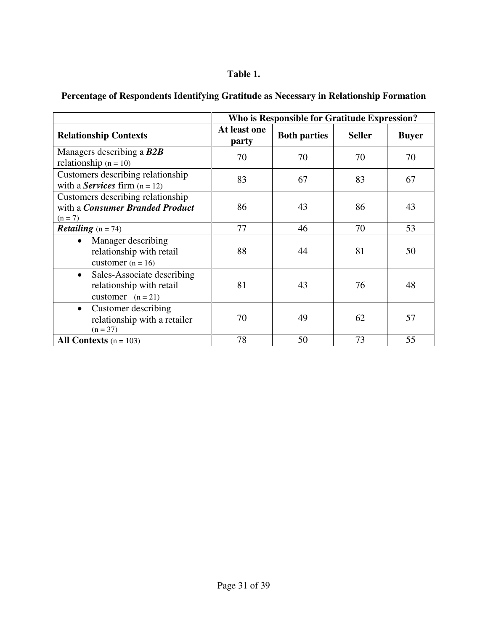# **Table 1.**

|                                                                                            | Who is Responsible for Gratitude Expression? |                     |               |              |  |
|--------------------------------------------------------------------------------------------|----------------------------------------------|---------------------|---------------|--------------|--|
| <b>Relationship Contexts</b>                                                               | At least one<br>party                        | <b>Both parties</b> | <b>Seller</b> | <b>Buyer</b> |  |
| Managers describing a $B2B$<br>relationship $(n = 10)$                                     | 70                                           | 70                  | 70            | 70           |  |
| Customers describing relationship<br>with a <b>Services</b> firm $(n = 12)$                | 83                                           | 67                  | 83            | 67           |  |
| Customers describing relationship<br>with a <i>Consumer Branded Product</i><br>$(n = 7)$   | 86                                           | 43                  | 86            | 43           |  |
| <b>Retailing</b> $(n = 74)$                                                                | 77                                           | 46                  | 70            | 53           |  |
| Manager describing<br>$\bullet$<br>relationship with retail<br>customer $(n = 16)$         | 88                                           | 44                  | 81            | 50           |  |
| Sales-Associate describing<br>$\bullet$<br>relationship with retail<br>customer $(n = 21)$ | 81                                           | 43                  | 76            | 48           |  |
| Customer describing<br>$\bullet$<br>relationship with a retailer<br>$(n = 37)$             | 70                                           | 49                  | 62            | 57           |  |
| All Contexts $(n = 103)$                                                                   | 78                                           | 50                  | 73            | 55           |  |

# **Percentage of Respondents Identifying Gratitude as Necessary in Relationship Formation**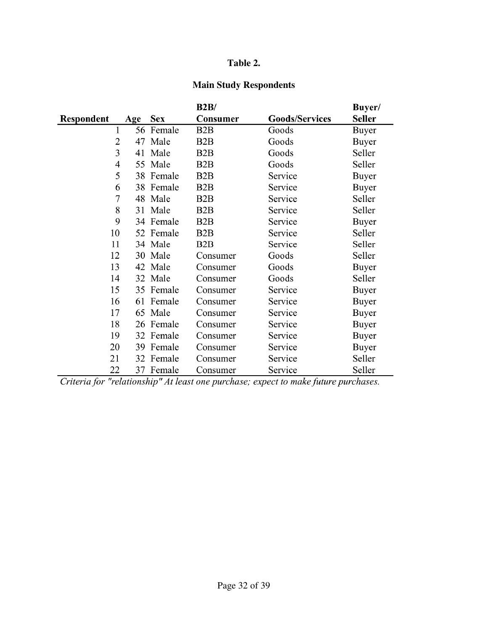# **Table 2.**

# **Main Study Respondents**

|                |     |            | B2B/             |                       | Buyer/        |
|----------------|-----|------------|------------------|-----------------------|---------------|
| Respondent     | Age | <b>Sex</b> | Consumer         | <b>Goods/Services</b> | <b>Seller</b> |
| 1              | 56  | Female     | B <sub>2</sub> B | Goods                 | <b>Buyer</b>  |
| $\overline{2}$ | 47  | Male       | B <sub>2</sub> B | Goods                 | <b>Buyer</b>  |
| 3              | 41  | Male       | B <sub>2</sub> B | Goods                 | Seller        |
| $\overline{4}$ |     | 55 Male    | B <sub>2</sub> B | Goods                 | Seller        |
| 5              |     | 38 Female  | B2B              | Service               | Buyer         |
| 6              |     | 38 Female  | B <sub>2</sub> B | Service               | <b>Buyer</b>  |
| $\overline{7}$ |     | 48 Male    | B <sub>2</sub> B | Service               | Seller        |
| 8              |     | 31 Male    | B <sub>2</sub> B | Service               | Seller        |
| 9              |     | 34 Female  | B <sub>2</sub> B | Service               | Buyer         |
| 10             |     | 52 Female  | B <sub>2</sub> B | Service               | Seller        |
| 11             |     | 34 Male    | B2B              | Service               | Seller        |
| 12             |     | 30 Male    | Consumer         | Goods                 | Seller        |
| 13             |     | 42 Male    | Consumer         | Goods                 | <b>Buyer</b>  |
| 14             |     | 32 Male    | Consumer         | Goods                 | Seller        |
| 15             |     | 35 Female  | Consumer         | Service               | Buyer         |
| 16             | 61  | Female     | Consumer         | Service               | <b>Buyer</b>  |
| 17             |     | 65 Male    | Consumer         | Service               | <b>Buyer</b>  |
| 18             | 26  | Female     | Consumer         | Service               | Buyer         |
| 19             |     | 32 Female  | Consumer         | Service               | <b>Buyer</b>  |
| 20             | 39  | Female     | Consumer         | Service               | Buyer         |
| 21             |     | 32 Female  | Consumer         | Service               | Seller        |
| 22             |     | 37 Female  | Consumer         | Service               | Seller        |

Criteria for "relationship" At least one purchase; expect to make future purchases.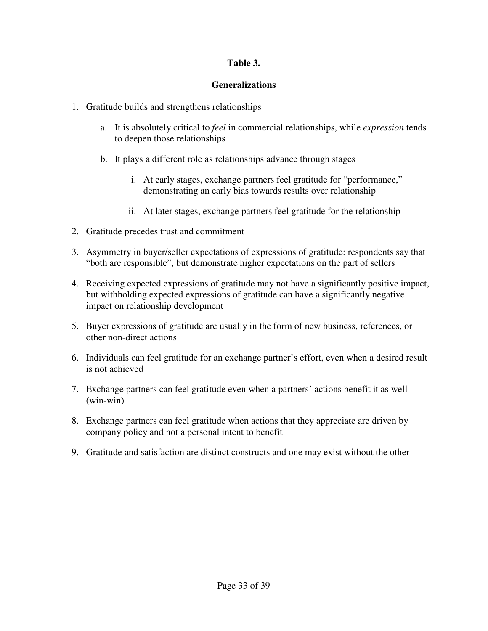# **Table 3.**

# **Generalizations**

- 1. Gratitude builds and strengthens relationships
	- a. It is absolutely critical to *feel* in commercial relationships, while *expression* tends to deepen those relationships
	- b. It plays a different role as relationships advance through stages
		- i. At early stages, exchange partners feel gratitude for "performance," demonstrating an early bias towards results over relationship
		- ii. At later stages, exchange partners feel gratitude for the relationship
- 2. Gratitude precedes trust and commitment
- 3. Asymmetry in buyer/seller expectations of expressions of gratitude: respondents say that "both are responsible", but demonstrate higher expectations on the part of sellers
- 4. Receiving expected expressions of gratitude may not have a significantly positive impact, but withholding expected expressions of gratitude can have a significantly negative impact on relationship development
- 5. Buyer expressions of gratitude are usually in the form of new business, references, or other non-direct actions
- 6. Individuals can feel gratitude for an exchange partner's effort, even when a desired result is not achieved
- 7. Exchange partners can feel gratitude even when a partners' actions benefit it as well (win-win)
- 8. Exchange partners can feel gratitude when actions that they appreciate are driven by company policy and not a personal intent to benefit
- 9. Gratitude and satisfaction are distinct constructs and one may exist without the other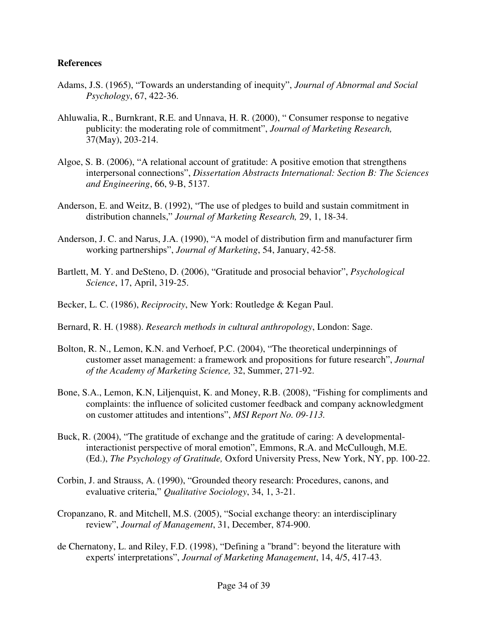# **References**

- Adams, J.S. (1965), "Towards an understanding of inequity", *Journal of Abnormal and Social Psychology*, 67, 422-36.
- Ahluwalia, R., Burnkrant, R.E. and Unnava, H. R. (2000), " Consumer response to negative publicity: the moderating role of commitment", *Journal of Marketing Research,*  37(May), 203-214.
- Algoe, S. B. (2006), "A relational account of gratitude: A positive emotion that strengthens interpersonal connections", *Dissertation Abstracts International: Section B: The Sciences and Engineering*, 66, 9-B, 5137.
- Anderson, E. and Weitz, B. (1992), "The use of pledges to build and sustain commitment in distribution channels," *Journal of Marketing Research,* 29, 1, 18-34.
- Anderson, J. C. and Narus, J.A. (1990), "A model of distribution firm and manufacturer firm working partnerships", *Journal of Marketing*, 54, January, 42-58.
- Bartlett, M. Y. and DeSteno, D. (2006), "Gratitude and prosocial behavior", *Psychological Science*, 17, April, 319-25.
- Becker, L. C. (1986), *Reciprocity*, New York: Routledge & Kegan Paul.
- Bernard, R. H. (1988). *Research methods in cultural anthropology*, London: Sage.
- Bolton, R. N., Lemon, K.N. and Verhoef, P.C. (2004), "The theoretical underpinnings of customer asset management: a framework and propositions for future research", *Journal of the Academy of Marketing Science,* 32, Summer, 271-92.
- Bone, S.A., Lemon, K.N, Liljenquist, K. and Money, R.B. (2008), "Fishing for compliments and complaints: the influence of solicited customer feedback and company acknowledgment on customer attitudes and intentions", *MSI Report No. 09-113.*
- Buck, R. (2004), "The gratitude of exchange and the gratitude of caring: A developmentalinteractionist perspective of moral emotion", Emmons, R.A. and McCullough, M.E. (Ed.), *The Psychology of Gratitude,* Oxford University Press, New York, NY, pp. 100-22.
- Corbin, J. and Strauss, A. (1990), "Grounded theory research: Procedures, canons, and evaluative criteria," *Qualitative Sociology*, 34, 1, 3-21.
- Cropanzano, R. and Mitchell, M.S. (2005), "Social exchange theory: an interdisciplinary review", *Journal of Management*, 31, December, 874-900.
- de Chernatony, L. and Riley, F.D. (1998), "Defining a "brand": beyond the literature with experts' interpretations", *Journal of Marketing Management*, 14, 4/5, 417-43.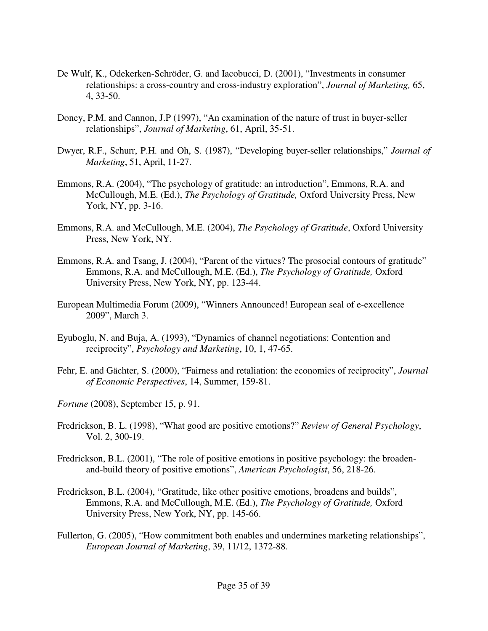- De Wulf, K., Odekerken-Schröder, G. and Iacobucci, D. (2001), "Investments in consumer relationships: a cross-country and cross-industry exploration", *Journal of Marketing,* 65, 4, 33-50.
- Doney, P.M. and Cannon, J.P (1997), "An examination of the nature of trust in buyer-seller relationships", *Journal of Marketing*, 61, April, 35-51.
- Dwyer, R.F., Schurr, P.H. and Oh, S. (1987), "Developing buyer-seller relationships," *Journal of Marketing*, 51, April, 11-27.
- Emmons, R.A. (2004), "The psychology of gratitude: an introduction", Emmons, R.A. and McCullough, M.E. (Ed.), *The Psychology of Gratitude,* Oxford University Press, New York, NY, pp. 3-16.
- Emmons, R.A. and McCullough, M.E. (2004), *The Psychology of Gratitude*, Oxford University Press, New York, NY.
- Emmons, R.A. and Tsang, J. (2004), "Parent of the virtues? The prosocial contours of gratitude" Emmons, R.A. and McCullough, M.E. (Ed.), *The Psychology of Gratitude,* Oxford University Press, New York, NY, pp. 123-44.
- European Multimedia Forum (2009), "Winners Announced! European seal of e-excellence 2009", March 3.
- Eyuboglu, N. and Buja, A. (1993), "Dynamics of channel negotiations: Contention and reciprocity", *Psychology and Marketing*, 10, 1, 47-65.
- Fehr, E. and Gächter, S. (2000), "Fairness and retaliation: the economics of reciprocity", *Journal of Economic Perspectives*, 14, Summer, 159-81.
- *Fortune* (2008), September 15, p. 91.
- Fredrickson, B. L. (1998), "What good are positive emotions?" *Review of General Psychology*, Vol. 2, 300-19.
- Fredrickson, B.L. (2001), "The role of positive emotions in positive psychology: the broadenand-build theory of positive emotions", *American Psychologist*, 56, 218-26.
- Fredrickson, B.L. (2004), "Gratitude, like other positive emotions, broadens and builds", Emmons, R.A. and McCullough, M.E. (Ed.), *The Psychology of Gratitude,* Oxford University Press, New York, NY, pp. 145-66.
- Fullerton, G. (2005), "How commitment both enables and undermines marketing relationships", *European Journal of Marketing*, 39, 11/12, 1372-88.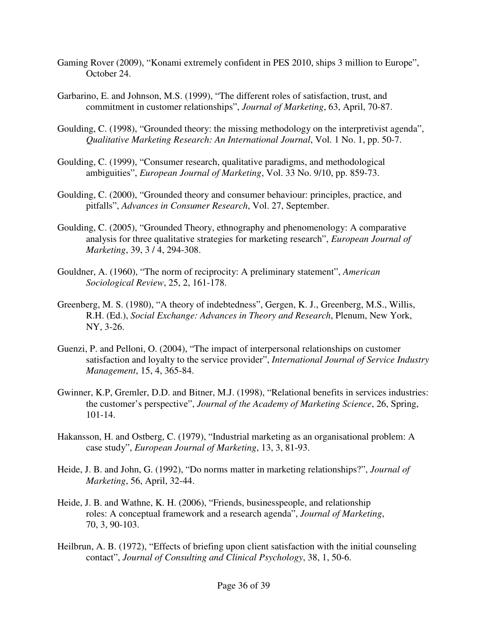- Gaming Rover (2009), "Konami extremely confident in PES 2010, ships 3 million to Europe", October 24.
- Garbarino, E. and Johnson, M.S. (1999), "The different roles of satisfaction, trust, and commitment in customer relationships", *Journal of Marketing*, 63, April, 70-87.
- Goulding, C. (1998), "Grounded theory: the missing methodology on the interpretivist agenda", *Qualitative Marketing Research: An International Journal*, Vol. 1 No. 1, pp. 50-7.
- Goulding, C. (1999), "Consumer research, qualitative paradigms, and methodological ambiguities", *European Journal of Marketing*, Vol. 33 No. 9/10, pp. 859-73.
- Goulding, C. (2000), "Grounded theory and consumer behaviour: principles, practice, and pitfalls", *Advances in Consumer Research*, Vol. 27, September.
- Goulding, C. (2005), "Grounded Theory, ethnography and phenomenology: A comparative analysis for three qualitative strategies for marketing research", *European Journal of Marketing*, 39, 3 / 4, 294-308.
- Gouldner, A. (1960), "The norm of reciprocity: A preliminary statement", *American Sociological Review*, 25, 2, 161-178.
- Greenberg, M. S. (1980), "A theory of indebtedness", Gergen, K. J., Greenberg, M.S., Willis, R.H. (Ed.), *Social Exchange: Advances in Theory and Research*, Plenum, New York, NY, 3-26.
- Guenzi, P. and Pelloni, O. (2004), "The impact of interpersonal relationships on customer satisfaction and loyalty to the service provider", *International Journal of Service Industry Management*, 15, 4, 365-84.
- Gwinner, K.P, Gremler, D.D. and Bitner, M.J. (1998), "Relational benefits in services industries: the customer's perspective", *Journal of the Academy of Marketing Science*, 26, Spring, 101-14.
- Hakansson, H. and Ostberg, C. (1979), "Industrial marketing as an organisational problem: A case study", *European Journal of Marketing*, 13, 3, 81-93.
- Heide, J. B. and John, G. (1992), "Do norms matter in marketing relationships?", *Journal of Marketing*, 56, April, 32-44.
- Heide, J. B. and Wathne, K. H. (2006), "Friends, businesspeople, and relationship roles: A conceptual framework and a research agenda", *Journal of Marketing*, 70, 3, 90-103.
- Heilbrun, A. B. (1972), "Effects of briefing upon client satisfaction with the initial counseling contact", *Journal of Consulting and Clinical Psychology*, 38, 1, 50-6.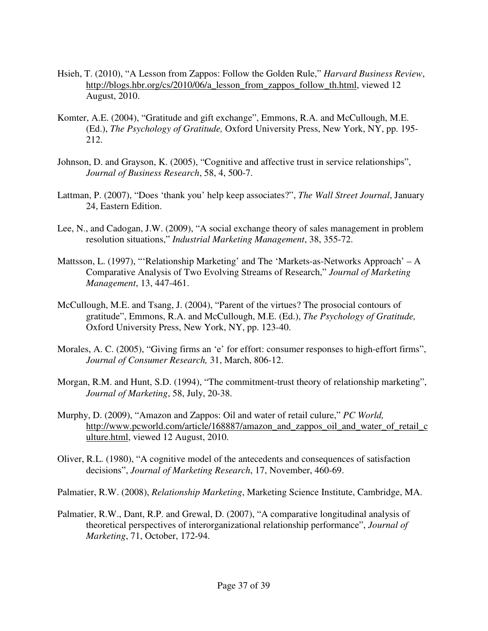- Hsieh, T. (2010), "A Lesson from Zappos: Follow the Golden Rule," *Harvard Business Review*, http://blogs.hbr.org/cs/2010/06/a lesson from zappos follow th.html, viewed 12 August, 2010.
- Komter, A.E. (2004), "Gratitude and gift exchange", Emmons, R.A. and McCullough, M.E. (Ed.), *The Psychology of Gratitude,* Oxford University Press, New York, NY, pp. 195- 212.
- Johnson, D. and Grayson, K. (2005), "Cognitive and affective trust in service relationships", *Journal of Business Research*, 58, 4, 500-7.
- Lattman, P. (2007), "Does 'thank you' help keep associates?", *The Wall Street Journal*, January 24, Eastern Edition.
- Lee, N., and Cadogan, J.W. (2009), "A social exchange theory of sales management in problem resolution situations," *Industrial Marketing Management*, 38, 355-72.
- Mattsson, L. (1997), "'Relationship Marketing' and The 'Markets-as-Networks Approach' A Comparative Analysis of Two Evolving Streams of Research," *Journal of Marketing Management*, 13, 447-461.
- McCullough, M.E. and Tsang, J. (2004), "Parent of the virtues? The prosocial contours of gratitude", Emmons, R.A. and McCullough, M.E. (Ed.), *The Psychology of Gratitude,* Oxford University Press, New York, NY, pp. 123-40.
- Morales, A. C. (2005), "Giving firms an 'e' for effort: consumer responses to high-effort firms", *Journal of Consumer Research,* 31, March, 806-12.
- Morgan, R.M. and Hunt, S.D. (1994), "The commitment-trust theory of relationship marketing", *Journal of Marketing*, 58, July, 20-38.
- Murphy, D. (2009), "Amazon and Zappos: Oil and water of retail culure," *PC World,*  http://www.pcworld.com/article/168887/amazon\_and\_zappos\_oil\_and\_water\_of\_retail\_c ulture.html, viewed 12 August, 2010.
- Oliver, R.L. (1980), "A cognitive model of the antecedents and consequences of satisfaction decisions", *Journal of Marketing Research*, 17, November, 460-69.

Palmatier, R.W. (2008), *Relationship Marketing*, Marketing Science Institute, Cambridge, MA.

Palmatier, R.W., Dant, R.P. and Grewal, D. (2007), "A comparative longitudinal analysis of theoretical perspectives of interorganizational relationship performance", *Journal of Marketing*, 71, October, 172-94.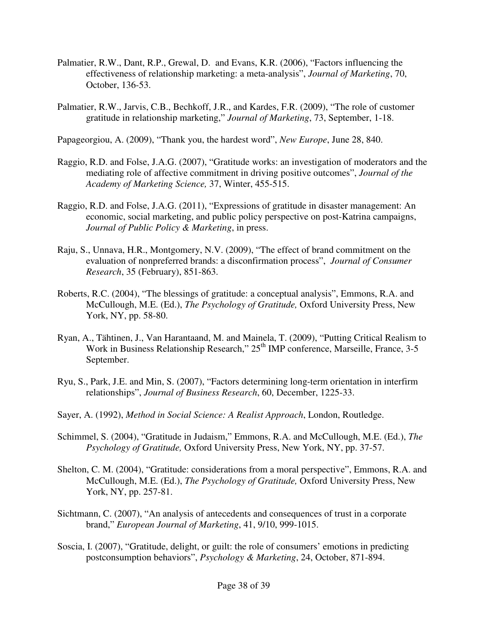- Palmatier, R.W., Dant, R.P., Grewal, D. and Evans, K.R. (2006), "Factors influencing the effectiveness of relationship marketing: a meta-analysis", *Journal of Marketing*, 70, October, 136-53.
- Palmatier, R.W., Jarvis, C.B., Bechkoff, J.R., and Kardes, F.R. (2009), "The role of customer gratitude in relationship marketing," *Journal of Marketing*, 73, September, 1-18.

Papageorgiou, A. (2009), "Thank you, the hardest word", *New Europe*, June 28, 840.

- Raggio, R.D. and Folse, J.A.G. (2007), "Gratitude works: an investigation of moderators and the mediating role of affective commitment in driving positive outcomes", *Journal of the Academy of Marketing Science,* 37, Winter, 455-515.
- Raggio, R.D. and Folse, J.A.G. (2011), "Expressions of gratitude in disaster management: An economic, social marketing, and public policy perspective on post-Katrina campaigns, *Journal of Public Policy & Marketing*, in press.
- Raju, S., Unnava, H.R., Montgomery, N.V. (2009), "The effect of brand commitment on the evaluation of nonpreferred brands: a disconfirmation process", *Journal of Consumer Research*, 35 (February), 851-863.
- Roberts, R.C. (2004), "The blessings of gratitude: a conceptual analysis", Emmons, R.A. and McCullough, M.E. (Ed.), *The Psychology of Gratitude,* Oxford University Press, New York, NY, pp. 58-80.
- Ryan, A., Tähtinen, J., Van Harantaand, M. and Mainela, T. (2009), "Putting Critical Realism to Work in Business Relationship Research,"  $25<sup>th</sup>$  IMP conference, Marseille, France, 3-5 September.
- Ryu, S., Park, J.E. and Min, S. (2007), "Factors determining long-term orientation in interfirm relationships", *Journal of Business Research*, 60, December, 1225-33.
- Sayer, A. (1992), *Method in Social Science: A Realist Approach*, London, Routledge.
- Schimmel, S. (2004), "Gratitude in Judaism," Emmons, R.A. and McCullough, M.E. (Ed.), *The Psychology of Gratitude,* Oxford University Press, New York, NY, pp. 37-57.
- Shelton, C. M. (2004), "Gratitude: considerations from a moral perspective", Emmons, R.A. and McCullough, M.E. (Ed.), *The Psychology of Gratitude,* Oxford University Press, New York, NY, pp. 257-81.
- Sichtmann, C. (2007), "An analysis of antecedents and consequences of trust in a corporate brand," *European Journal of Marketing*, 41, 9/10, 999-1015.
- Soscia, I. (2007), "Gratitude, delight, or guilt: the role of consumers' emotions in predicting postconsumption behaviors", *Psychology & Marketing*, 24, October, 871-894.